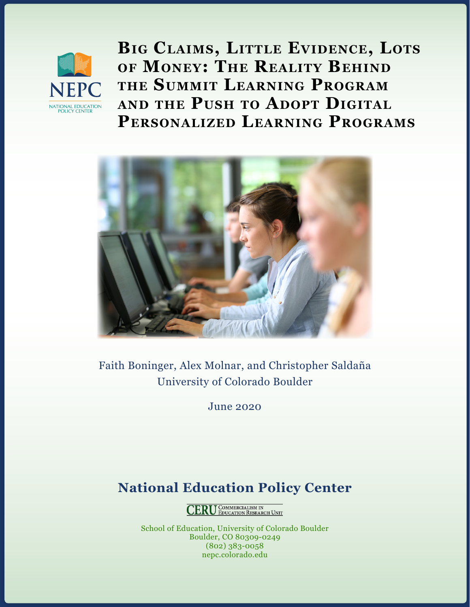

**Big Claims, Little Evidence, Lots of Money: The Reality Behind the Summit Learning Program and the Push to Adopt Digital Personalized Learning Programs**



Faith Boninger, Alex Molnar, and Christopher Saldaña University of Colorado Boulder

June 2020

# **National Education Policy Center**

**CERU** COMMERCIALISM IN

School of Education, University of Colorado Boulder Boulder, CO 80309-0249 (802) 383-0058 [nepc.colorado.edu](mailto:nepc.colorado.edu?subject=)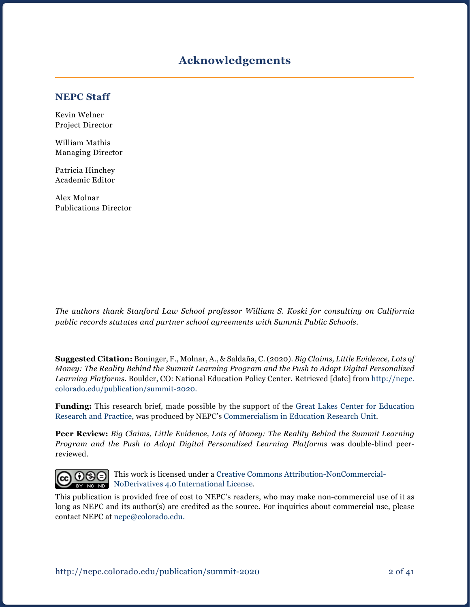### **Acknowledgements**

#### **NEPC Staff**

Kevin Welner Project Director

William Mathis Managing Director

Patricia Hinchey Academic Editor

Alex Molnar Publications Director

*The authors thank Stanford Law School professor William S. Koski for consulting on California public records statutes and partner school agreements with Summit Public Schools.*

**Suggested Citation:** Boninger, F., Molnar, A., & Saldaña, C. (2020). *Big Claims, Little Evidence, Lots of Money: The Reality Behind the Summit Learning Program and the Push to Adopt Digital Personalized Learning Platforms.* Boulder, CO: National Education Policy Center. Retrieved [date] from [http://nepc.](http://nepc.colorado.edu/publication/summit-2020) [colorado.edu/publication/summit-2020](http://nepc.colorado.edu/publication/summit-2020).

**Funding:** This research brief, made possible by the support of the [Great Lakes Center for Education](https://www.greatlakescenter.org/)  [Research and Practice,](https://www.greatlakescenter.org/) was produced by NEPC's [Commercialism in Education Research Unit.](https://nepc.colorado.edu/ceru-home)

**Peer Review:** *Big Claims, Little Evidence, Lots of Money: The Reality Behind the Summit Learning Program and the Push to Adopt Digital Personalized Learning Platforms* was double-blind peerreviewed.



This work is licensed under a [Creative Commons Attribution-NonCommercial-](https://creativecommons.org/licenses/by-nc-nd/4.0/)**BY NODER INCOPED MODER** AND **NODER** THE MODERN METAL **NODER** INCORPORATION **NO** 

This publication is provided free of cost to NEPC's readers, who may make non-commercial use of it as long as NEPC and its author(s) are credited as the source. For inquiries about commercial use, please contact NEPC at [nepc@colorado.edu](mailto:nepc%40colorado.edu?subject=).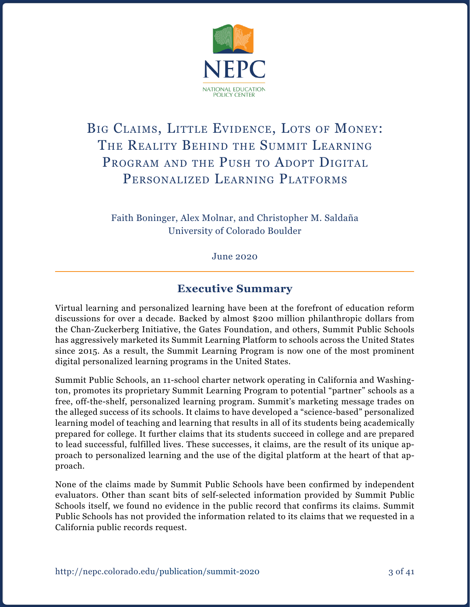

# BIG CLAIMS, LITTLE EVIDENCE, LOTS OF MONEY: THE REALITY BEHIND THE SUMMIT LEARNING PROGRAM AND THE PUSH TO ADOPT DIGITAL PERSONALIZED LEARNING PLATFORMS

Faith Boninger, Alex Molnar, and Christopher M. Saldaña University of Colorado Boulder

June 2020

### **Executive Summary**

Virtual learning and personalized learning have been at the forefront of education reform discussions for over a decade. Backed by almost \$200 million philanthropic dollars from the Chan-Zuckerberg Initiative, the Gates Foundation, and others, Summit Public Schools has aggressively marketed its Summit Learning Platform to schools across the United States since 2015. As a result, the Summit Learning Program is now one of the most prominent digital personalized learning programs in the United States.

Summit Public Schools, an 11-school charter network operating in California and Washington, promotes its proprietary Summit Learning Program to potential "partner" schools as a free, off-the-shelf, personalized learning program. Summit's marketing message trades on the alleged success of its schools. It claims to have developed a "science-based" personalized learning model of teaching and learning that results in all of its students being academically prepared for college. It further claims that its students succeed in college and are prepared to lead successful, fulfilled lives. These successes, it claims, are the result of its unique approach to personalized learning and the use of the digital platform at the heart of that approach.

None of the claims made by Summit Public Schools have been confirmed by independent evaluators. Other than scant bits of self-selected information provided by Summit Public Schools itself, we found no evidence in the public record that confirms its claims. Summit Public Schools has not provided the information related to its claims that we requested in a California public records request.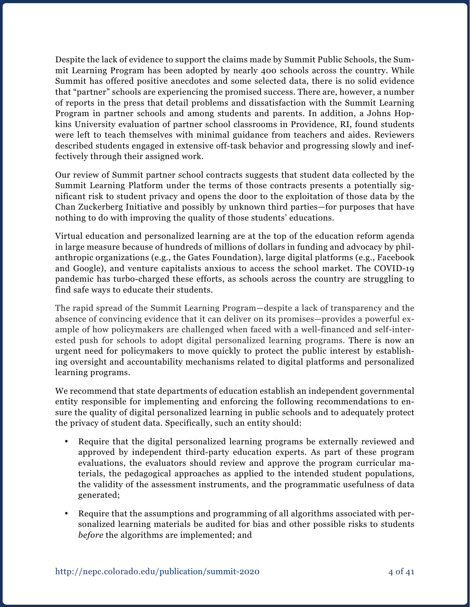Despite the lack of evidence to support the claims made by Summit Public Schools, the Summit Learning Program has been adopted by nearly 400 schools across the country. While Summit has offered positive anecdotes and some selected data, there is no solid evidence that "partner" schools are experiencing the promised success. There are, however, a number of reports in the press that detail problems and dissatisfaction with the Summit Learning Program in partner schools and among students and parents. In addition, a Johns Hopkins University evaluation of partner school classrooms in Providence, RI, found students were left to teach themselves with minimal guidance from teachers and aides. Reviewers described students engaged in extensive off-task behavior and progressing slowly and ineffectively through their assigned work.

Our review of Summit partner school contracts suggests that student data collected by the Summit Learning Platform under the terms of those contracts presents a potentially significant risk to student privacy and opens the door to the exploitation of those data by the Chan Zuckerberg Initiative and possibly by unknown third parties—for purposes that have nothing to do with improving the quality of those students' educations.

Virtual education and personalized learning are at the top of the education reform agenda in large measure because of hundreds of millions of dollars in funding and advocacy by philanthropic organizations (e.g., the Gates Foundation), large digital platforms (e.g., Facebook and Google), and venture capitalists anxious to access the school market. The COVID-19 pandemic has turbo-charged these efforts, as schools across the country are struggling to find safe ways to educate their students.

The rapid spread of the Summit Learning Program—despite a lack of transparency and the absence of convincing evidence that it can deliver on its promises—provides a powerful example of how policymakers are challenged when faced with a well-financed and self-interested push for schools to adopt digital personalized learning programs. There is now an urgent need for policymakers to move quickly to protect the public interest by establishing oversight and accountability mechanisms related to digital platforms and personalized learning programs.

We recommend that state departments of education establish an independent governmental entity responsible for implementing and enforcing the following recommendations to ensure the quality of digital personalized learning in public schools and to adequately protect the privacy of student data. Specifically, such an entity should:

- Require that the digital personalized learning programs be externally reviewed and approved by independent third-party education experts. As part of these program evaluations, the evaluators should review and approve the program curricular materials, the pedagogical approaches as applied to the intended student populations, the validity of the assessment instruments, and the programmatic usefulness of data generated;
- Require that the assumptions and programming of all algorithms associated with personalized learning materials be audited for bias and other possible risks to students *before* the algorithms are implemented; and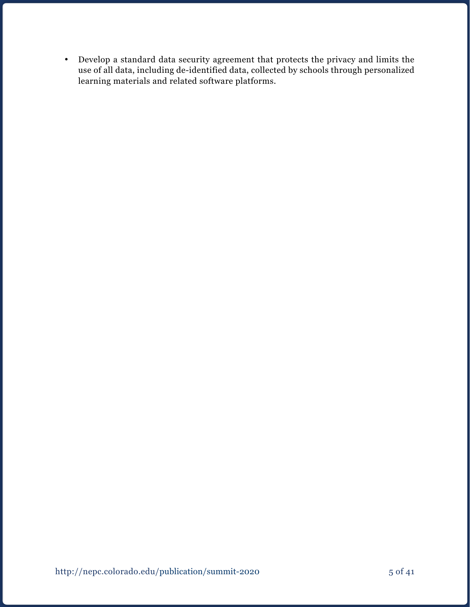• Develop a standard data security agreement that protects the privacy and limits the use of all data, including de-identified data, collected by schools through personalized learning materials and related software platforms.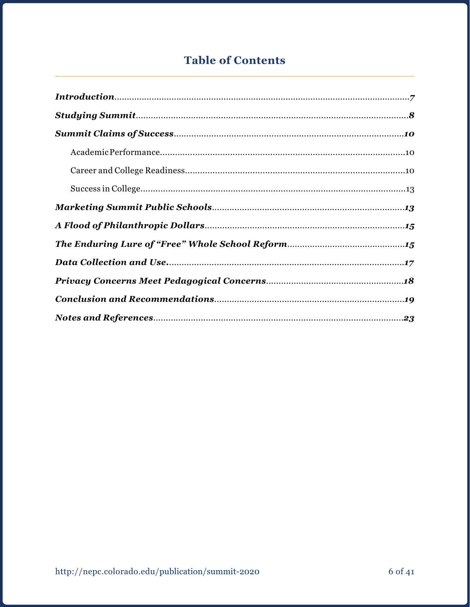## **Table of Contents**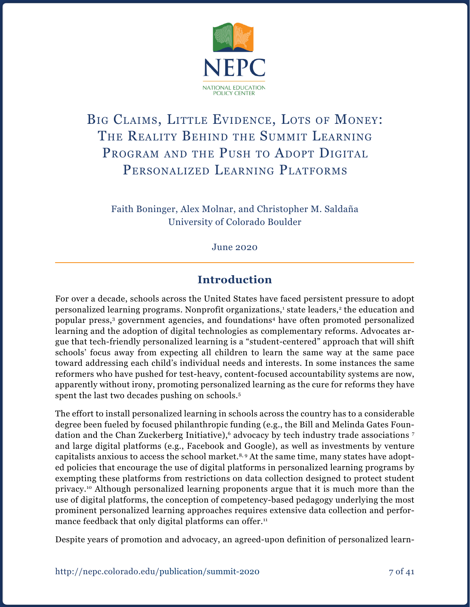

# BIG CLAIMS, LITTLE EVIDENCE, LOTS OF MONEY: THE REALITY BEHIND THE SUMMIT LEARNING PROGRAM AND THE PUSH TO ADOPT DIGITAL PERSONALIZED LEARNING PLATFORMS

Faith Boninger, Alex Molnar, and Christopher M. Saldaña University of Colorado Boulder

June 2020

### **Introduction**

For over a decade, schools across the United States have faced persistent pressure to adopt personalized learning programs. Nonprofit organizations,<sup>1</sup> state leaders,<sup>2</sup> the education and popular press,<sup>3</sup> government agencies, and foundations<sup>4</sup> have often promoted personalized learning and the adoption of digital technologies as complementary reforms. Advocates argue that tech-friendly personalized learning is a "student-centered" approach that will shift schools' focus away from expecting all children to learn the same way at the same pace toward addressing each child's individual needs and interests. In some instances the same reformers who have pushed for test-heavy, content-focused accountability systems are now, apparently without irony, promoting personalized learning as the cure for reforms they have spent the last two decades pushing on schools.<sup>5</sup>

The effort to install personalized learning in schools across the country has to a considerable degree been fueled by focused philanthropic funding (e.g., the Bill and Melinda Gates Foundation and the Chan Zuckerberg Initiative),<sup>6</sup> advocacy by tech industry trade associations <sup>7</sup> and large digital platforms (e.g., Facebook and Google), as well as investments by venture capitalists anxious to access the school market.<sup>8, 9</sup> At the same time, many states have adopted policies that encourage the use of digital platforms in personalized learning programs by exempting these platforms from restrictions on data collection designed to protect student privacy.10 Although personalized learning proponents argue that it is much more than the use of digital platforms, the conception of competency-based pedagogy underlying the most prominent personalized learning approaches requires extensive data collection and performance feedback that only digital platforms can offer.<sup>11</sup>

Despite years of promotion and advocacy, an agreed-upon definition of personalized learn-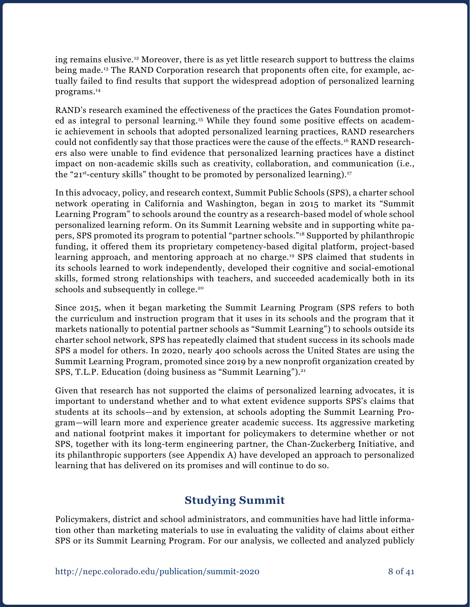ing remains elusive.12 Moreover, there is as yet little research support to buttress the claims being made.13 The RAND Corporation research that proponents often cite, for example, actually failed to find results that support the widespread adoption of personalized learning programs.14

RAND's research examined the effectiveness of the practices the Gates Foundation promoted as integral to personal learning.15 While they found some positive effects on academic achievement in schools that adopted personalized learning practices, RAND researchers could not confidently say that those practices were the cause of the effects.16 RAND researchers also were unable to find evidence that personalized learning practices have a distinct impact on non-academic skills such as creativity, collaboration, and communication (i.e., the "21<sup>st</sup>-century skills" thought to be promoted by personalized learning).<sup>17</sup>

In this advocacy, policy, and research context, Summit Public Schools (SPS), a charter school network operating in California and Washington, began in 2015 to market its "Summit Learning Program" to schools around the country as a research-based model of whole school personalized learning reform. On its Summit Learning website and in supporting white papers, SPS promoted its program to potential "partner schools."18 Supported by philanthropic funding, it offered them its proprietary competency-based digital platform, project-based learning approach, and mentoring approach at no charge.<sup>19</sup> SPS claimed that students in its schools learned to work independently, developed their cognitive and social-emotional skills, formed strong relationships with teachers, and succeeded academically both in its schools and subsequently in college.<sup>20</sup>

Since 2015, when it began marketing the Summit Learning Program (SPS refers to both the curriculum and instruction program that it uses in its schools and the program that it markets nationally to potential partner schools as "Summit Learning") to schools outside its charter school network, SPS has repeatedly claimed that student success in its schools made SPS a model for others. In 2020, nearly 400 schools across the United States are using the Summit Learning Program, promoted since 2019 by a new nonprofit organization created by SPS, T.L.P. Education (doing business as "Summit Learning").<sup>21</sup>

Given that research has not supported the claims of personalized learning advocates, it is important to understand whether and to what extent evidence supports SPS's claims that students at its schools—and by extension, at schools adopting the Summit Learning Program—will learn more and experience greater academic success. Its aggressive marketing and national footprint makes it important for policymakers to determine whether or not SPS, together with its long-term engineering partner, the Chan-Zuckerberg Initiative, and its philanthropic supporters (see Appendix A) have developed an approach to personalized learning that has delivered on its promises and will continue to do so.

### **Studying Summit**

Policymakers, district and school administrators, and communities have had little information other than marketing materials to use in evaluating the validity of claims about either SPS or its Summit Learning Program. For our analysis, we collected and analyzed publicly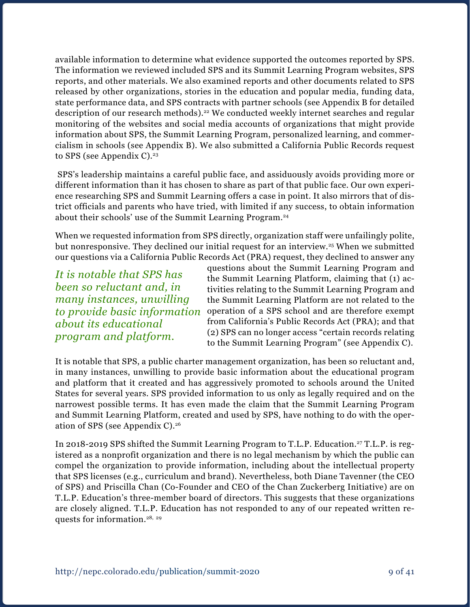available information to determine what evidence supported the outcomes reported by SPS. The information we reviewed included SPS and its Summit Learning Program websites, SPS reports, and other materials. We also examined reports and other documents related to SPS released by other organizations, stories in the education and popular media, funding data, state performance data, and SPS contracts with partner schools (see Appendix B for detailed description of our research methods).<sup>22</sup> We conducted weekly internet searches and regular monitoring of the websites and social media accounts of organizations that might provide information about SPS, the Summit Learning Program, personalized learning, and commercialism in schools (see Appendix B). We also submitted a California Public Records request to SPS (see Appendix C). $23$ 

 SPS's leadership maintains a careful public face, and assiduously avoids providing more or different information than it has chosen to share as part of that public face. Our own experience researching SPS and Summit Learning offers a case in point. It also mirrors that of district officials and parents who have tried, with limited if any success, to obtain information about their schools' use of the Summit Learning Program.24

When we requested information from SPS directly, organization staff were unfailingly polite, but nonresponsive. They declined our initial request for an interview.25 When we submitted our questions via a California Public Records Act (PRA) request, they declined to answer any

*It is notable that SPS has been so reluctant and, in many instances, unwilling about its educational program and platform.*

questions about the Summit Learning Program and the Summit Learning Platform, claiming that (1) activities relating to the Summit Learning Program and the Summit Learning Platform are not related to the *to provide basic information* operation of a SPS school and are therefore exempt from California's Public Records Act (PRA); and that (2) SPS can no longer access "certain records relating to the Summit Learning Program" (see Appendix C).

It is notable that SPS, a public charter management organization, has been so reluctant and, in many instances, unwilling to provide basic information about the educational program and platform that it created and has aggressively promoted to schools around the United States for several years. SPS provided information to us only as legally required and on the narrowest possible terms. It has even made the claim that the Summit Learning Program and Summit Learning Platform, created and used by SPS, have nothing to do with the operation of SPS (see Appendix C).26

In 2018-2019 SPS shifted the Summit Learning Program to T.L.P. Education.<sup>27</sup> T.L.P. is registered as a nonprofit organization and there is no legal mechanism by which the public can compel the organization to provide information, including about the intellectual property that SPS licenses (e.g., curriculum and brand). Nevertheless, both Diane Tavenner (the CEO of SPS) and Priscilla Chan (Co-Founder and CEO of the Chan Zuckerberg Initiative) are on T.L.P. Education's three-member board of directors. This suggests that these organizations are closely aligned. T.L.P. Education has not responded to any of our repeated written requests for information.28, <sup>29</sup>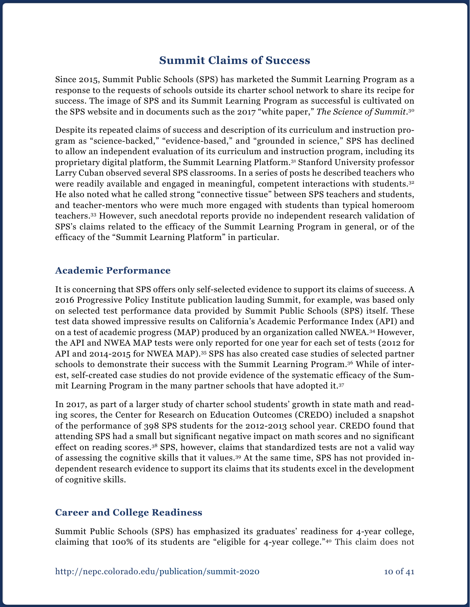### **Summit Claims of Success**

Since 2015, Summit Public Schools (SPS) has marketed the Summit Learning Program as a response to the requests of schools outside its charter school network to share its recipe for success. The image of SPS and its Summit Learning Program as successful is cultivated on the SPS website and in documents such as the 2017 "white paper," *The Science of Summit*. 30

Despite its repeated claims of success and description of its curriculum and instruction program as "science-backed," "evidence-based," and "grounded in science," SPS has declined to allow an independent evaluation of its curriculum and instruction program, including its proprietary digital platform, the Summit Learning Platform.31 Stanford University professor Larry Cuban observed several SPS classrooms. In a series of posts he described teachers who were readily available and engaged in meaningful, competent interactions with students.<sup>32</sup> He also noted what he called strong "connective tissue" between SPS teachers and students, and teacher-mentors who were much more engaged with students than typical homeroom teachers.33 However, such anecdotal reports provide no independent research validation of SPS's claims related to the efficacy of the Summit Learning Program in general, or of the efficacy of the "Summit Learning Platform" in particular.

### **Academic Performance**

It is concerning that SPS offers only self-selected evidence to support its claims of success. A 2016 Progressive Policy Institute publication lauding Summit, for example, was based only on selected test performance data provided by Summit Public Schools (SPS) itself. These test data showed impressive results on California's Academic Performance Index (API) and on a test of academic progress (MAP) produced by an organization called NWEA.34 However, the API and NWEA MAP tests were only reported for one year for each set of tests (2012 for API and 2014-2015 for NWEA MAP).<sup>35</sup> SPS has also created case studies of selected partner schools to demonstrate their success with the Summit Learning Program.36 While of interest, self-created case studies do not provide evidence of the systematic efficacy of the Summit Learning Program in the many partner schools that have adopted it.37

In 2017, as part of a larger study of charter school students' growth in state math and reading scores, the Center for Research on Education Outcomes (CREDO) included a snapshot of the performance of 398 SPS students for the 2012-2013 school year. CREDO found that attending SPS had a small but significant negative impact on math scores and no significant effect on reading scores.38 SPS, however, claims that standardized tests are not a valid way of assessing the cognitive skills that it values.39 At the same time, SPS has not provided independent research evidence to support its claims that its students excel in the development of cognitive skills.

#### **Career and College Readiness**

Summit Public Schools (SPS) has emphasized its graduates' readiness for 4-year college, claiming that 100% of its students are "eligible for 4-year college."40 This claim does not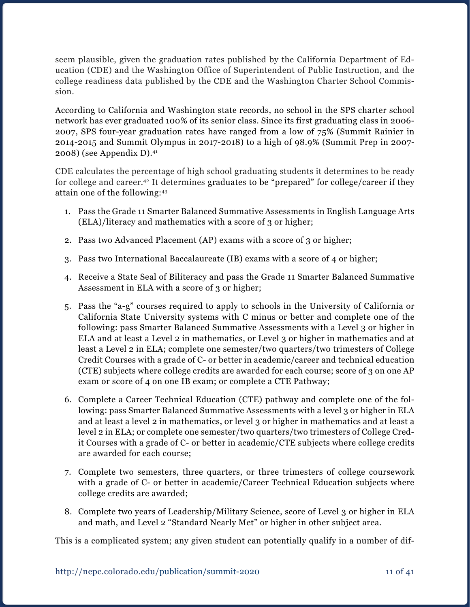seem plausible, given the graduation rates published by the California Department of Education (CDE) and the Washington Office of Superintendent of Public Instruction, and the college readiness data published by the CDE and the Washington Charter School Commission.

According to California and Washington state records, no school in the SPS charter school network has ever graduated 100% of its senior class. Since its first graduating class in 2006- 2007, SPS four-year graduation rates have ranged from a low of 75% (Summit Rainier in 2014-2015 and Summit Olympus in 2017-2018) to a high of 98.9% (Summit Prep in 2007- 2008) (see Appendix D).41

CDE calculates the percentage of high school graduating students it determines to be ready for college and career.42 It determines graduates to be "prepared" for college/career if they attain one of the following:43

- 1. Pass the Grade 11 Smarter Balanced Summative Assessments in English Language Arts (ELA)/literacy and mathematics with a score of 3 or higher;
- 2. Pass two Advanced Placement (AP) exams with a score of 3 or higher;
- 3. Pass two International Baccalaureate (IB) exams with a score of 4 or higher;
- 4. Receive a State Seal of Biliteracy and pass the Grade 11 Smarter Balanced Summative Assessment in ELA with a score of 3 or higher;
- 5. Pass the "a-g" courses required to apply to schools in the University of California or California State University systems with C minus or better and complete one of the following: pass Smarter Balanced Summative Assessments with a Level 3 or higher in ELA and at least a Level 2 in mathematics, or Level 3 or higher in mathematics and at least a Level 2 in ELA; complete one semester/two quarters/two trimesters of College Credit Courses with a grade of C- or better in academic/career and technical education (CTE) subjects where college credits are awarded for each course; score of 3 on one AP exam or score of 4 on one IB exam; or complete a CTE Pathway;
- 6. Complete a Career Technical Education (CTE) pathway and complete one of the following: pass Smarter Balanced Summative Assessments with a level 3 or higher in ELA and at least a level 2 in mathematics, or level 3 or higher in mathematics and at least a level 2 in ELA; or complete one semester/two quarters/two trimesters of College Credit Courses with a grade of C- or better in academic/CTE subjects where college credits are awarded for each course;
- 7. Complete two semesters, three quarters, or three trimesters of college coursework with a grade of C- or better in academic/Career Technical Education subjects where college credits are awarded;
- 8. Complete two years of Leadership/Military Science, score of Level 3 or higher in ELA and math, and Level 2 "Standard Nearly Met" or higher in other subject area.

This is a complicated system; any given student can potentially qualify in a number of dif-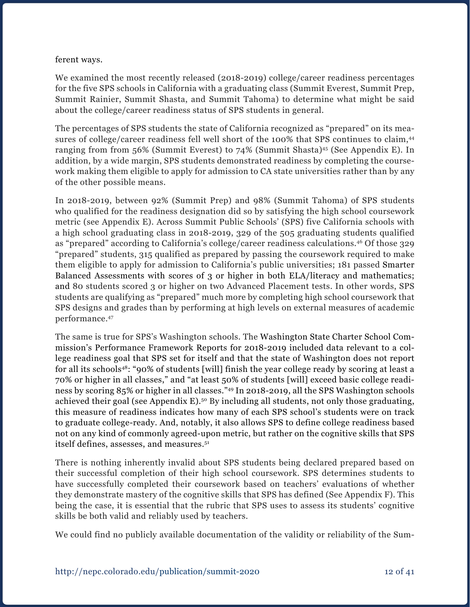#### ferent ways.

We examined the most recently released (2018-2019) college/career readiness percentages for the five SPS schools in California with a graduating class (Summit Everest, Summit Prep, Summit Rainier, Summit Shasta, and Summit Tahoma) to determine what might be said about the college/career readiness status of SPS students in general.

The percentages of SPS students the state of California recognized as "prepared" on its measures of college/career readiness fell well short of the 100% that SPS continues to claim,<sup>44</sup> ranging from from 56% (Summit Everest) to 74% (Summit Shasta)<sup>45</sup> (See Appendix E). In addition, by a wide margin, SPS students demonstrated readiness by completing the coursework making them eligible to apply for admission to CA state universities rather than by any of the other possible means.

In 2018-2019, between 92% (Summit Prep) and 98% (Summit Tahoma) of SPS students who qualified for the readiness designation did so by satisfying the high school coursework metric (see Appendix E). Across Summit Public Schools' (SPS) five California schools with a high school graduating class in 2018-2019, 329 of the 505 graduating students qualified as "prepared" according to California's college/career readiness calculations.46 Of those 329 "prepared" students, 315 qualified as prepared by passing the coursework required to make them eligible to apply for admission to California's public universities; 181 passed Smarter Balanced Assessments with scores of 3 or higher in both ELA/literacy and mathematics; and 80 students scored 3 or higher on two Advanced Placement tests. In other words, SPS students are qualifying as "prepared" much more by completing high school coursework that SPS designs and grades than by performing at high levels on external measures of academic performance.47

The same is true for SPS's Washington schools. The Washington State Charter School Commission's Performance Framework Reports for 2018-2019 included data relevant to a college readiness goal that SPS set for itself and that the state of Washington does not report for all its schools48: "90% of students [will] finish the year college ready by scoring at least a 70% or higher in all classes," and "at least 50% of students [will] exceed basic college readiness by scoring 85% or higher in all classes."49 In 2018-2019, all the SPS Washington schools achieved their goal (see Appendix E).<sup>50</sup> By including all students, not only those graduating, this measure of readiness indicates how many of each SPS school's students were on track to graduate college-ready. And, notably, it also allows SPS to define college readiness based not on any kind of commonly agreed-upon metric, but rather on the cognitive skills that SPS itself defines, assesses, and measures.<sup>51</sup>

There is nothing inherently invalid about SPS students being declared prepared based on their successful completion of their high school coursework. SPS determines students to have successfully completed their coursework based on teachers' evaluations of whether they demonstrate mastery of the cognitive skills that SPS has defined (See Appendix F). This being the case, it is essential that the rubric that SPS uses to assess its students' cognitive skills be both valid and reliably used by teachers.

We could find no publicly available documentation of the validity or reliability of the Sum-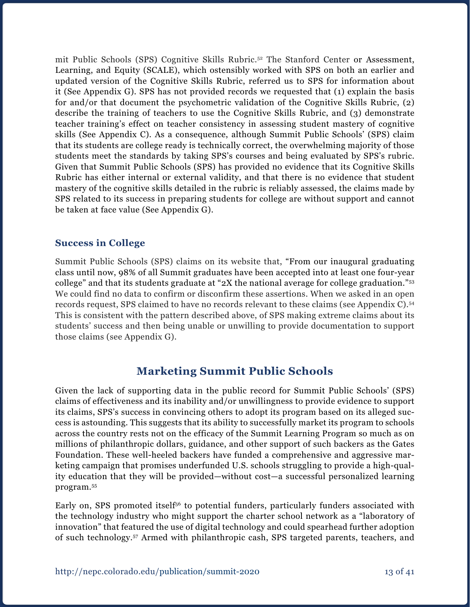mit Public Schools (SPS) Cognitive Skills Rubric.52 The Stanford Center or Assessment, Learning, and Equity (SCALE), which ostensibly worked with SPS on both an earlier and updated version of the Cognitive Skills Rubric, referred us to SPS for information about it (See Appendix G). SPS has not provided records we requested that (1) explain the basis for and/or that document the psychometric validation of the Cognitive Skills Rubric, (2) describe the training of teachers to use the Cognitive Skills Rubric, and (3) demonstrate teacher training's effect on teacher consistency in assessing student mastery of cognitive skills (See Appendix C). As a consequence, although Summit Public Schools' (SPS) claim that its students are college ready is technically correct, the overwhelming majority of those students meet the standards by taking SPS's courses and being evaluated by SPS's rubric. Given that Summit Public Schools (SPS) has provided no evidence that its Cognitive Skills Rubric has either internal or external validity, and that there is no evidence that student mastery of the cognitive skills detailed in the rubric is reliably assessed, the claims made by SPS related to its success in preparing students for college are without support and cannot be taken at face value (See Appendix G).

### **Success in College**

Summit Public Schools (SPS) claims on its website that, "From our inaugural graduating class until now, 98% of all Summit graduates have been accepted into at least one four-year college" and that its students graduate at "2X the national average for college graduation."53 We could find no data to confirm or disconfirm these assertions. When we asked in an open records request, SPS claimed to have no records relevant to these claims (see Appendix C).54 This is consistent with the pattern described above, of SPS making extreme claims about its students' success and then being unable or unwilling to provide documentation to support those claims (see Appendix G).

### **Marketing Summit Public Schools**

Given the lack of supporting data in the public record for Summit Public Schools' (SPS) claims of effectiveness and its inability and/or unwillingness to provide evidence to support its claims, SPS's success in convincing others to adopt its program based on its alleged success is astounding. This suggests that its ability to successfully market its program to schools across the country rests not on the efficacy of the Summit Learning Program so much as on millions of philanthropic dollars, guidance, and other support of such backers as the Gates Foundation. These well-heeled backers have funded a comprehensive and aggressive marketing campaign that promises underfunded U.S. schools struggling to provide a high-quality education that they will be provided—without cost—a successful personalized learning program.55

Early on, SPS promoted itself<sup>56</sup> to potential funders, particularly funders associated with the technology industry who might support the charter school network as a "laboratory of innovation" that featured the use of digital technology and could spearhead further adoption of such technology.57 Armed with philanthropic cash, SPS targeted parents, teachers, and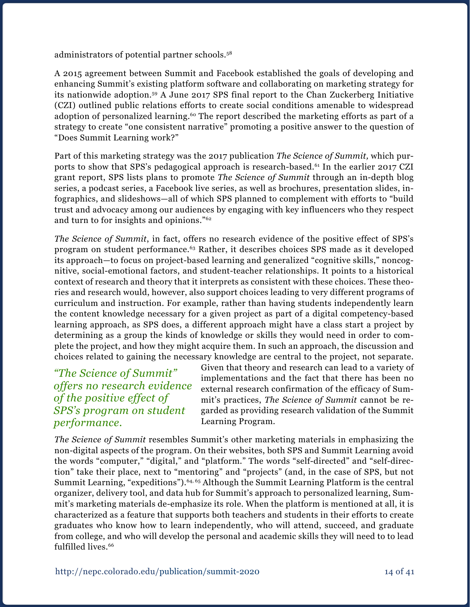administrators of potential partner schools.58

A 2015 agreement between Summit and Facebook established the goals of developing and enhancing Summit's existing platform software and collaborating on marketing strategy for its nationwide adoption.59 A June 2017 SPS final report to the Chan Zuckerberg Initiative (CZI) outlined public relations efforts to create social conditions amenable to widespread adoption of personalized learning.<sup>60</sup> The report described the marketing efforts as part of a strategy to create "one consistent narrative" promoting a positive answer to the question of "Does Summit Learning work?"

Part of this marketing strategy was the 2017 publication *The Science of Summit,* which purports to show that SPS's pedagogical approach is research-based.<sup>61</sup> In the earlier 2017 CZI grant report, SPS lists plans to promote *The Science of Summit* through an in-depth blog series, a podcast series, a Facebook live series, as well as brochures, presentation slides, infographics, and slideshows—all of which SPS planned to complement with efforts to "build trust and advocacy among our audiences by engaging with key influencers who they respect and turn to for insights and opinions."62

*The Science of Summit*, in fact, offers no research evidence of the positive effect of SPS's program on student performance.63 Rather, it describes choices SPS made as it developed its approach—to focus on project-based learning and generalized "cognitive skills," noncognitive, social-emotional factors, and student-teacher relationships. It points to a historical context of research and theory that it interprets as consistent with these choices. These theories and research would, however, also support choices leading to very different programs of curriculum and instruction. For example, rather than having students independently learn the content knowledge necessary for a given project as part of a digital competency-based learning approach, as SPS does, a different approach might have a class start a project by determining as a group the kinds of knowledge or skills they would need in order to complete the project, and how they might acquire them. In such an approach, the discussion and choices related to gaining the necessary knowledge are central to the project, not separate.

*"The Science of Summit" offers no research evidence of the positive effect of SPS's program on student performance.*

Given that theory and research can lead to a variety of implementations and the fact that there has been no external research confirmation of the efficacy of Summit's practices, *The Science of Summit* cannot be regarded as providing research validation of the Summit Learning Program.

*The Science of Summit* resembles Summit's other marketing materials in emphasizing the non-digital aspects of the program. On their websites, both SPS and Summit Learning avoid the words "computer," "digital," and "platform." The words "self-directed" and "self-direction" take their place, next to "mentoring" and "projects" (and, in the case of SPS, but not Summit Learning, "expeditions").<sup>64, 65</sup> Although the Summit Learning Platform is the central organizer, delivery tool, and data hub for Summit's approach to personalized learning, Summit's marketing materials de-emphasize its role. When the platform is mentioned at all, it is characterized as a feature that supports both teachers and students in their efforts to create graduates who know how to learn independently, who will attend, succeed, and graduate from college, and who will develop the personal and academic skills they will need to to lead fulfilled lives.<sup>66</sup>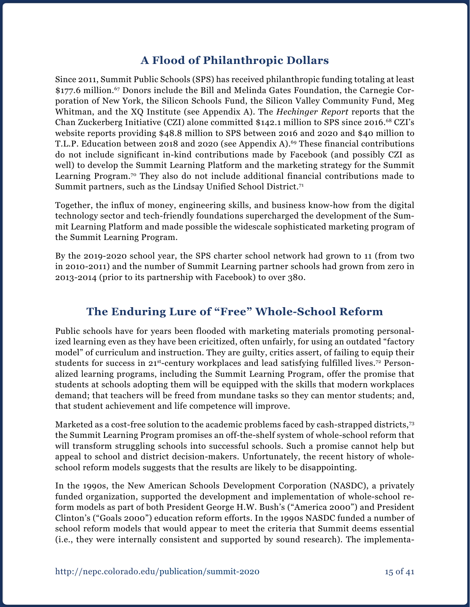### **A Flood of Philanthropic Dollars**

Since 2011, Summit Public Schools (SPS) has received philanthropic funding totaling at least \$177.6 million.<sup>67</sup> Donors include the Bill and Melinda Gates Foundation, the Carnegie Corporation of New York, the Silicon Schools Fund, the Silicon Valley Community Fund, Meg Whitman, and the XQ Institute (see Appendix A). The *Hechinger Report* reports that the Chan Zuckerberg Initiative (CZI) alone committed \$142.1 million to SPS since 2016.68 CZI's website reports providing \$48.8 million to SPS between 2016 and 2020 and \$40 million to T.L.P. Education between 2018 and 2020 (see Appendix A).<sup>69</sup> These financial contributions do not include significant in-kind contributions made by Facebook (and possibly CZI as well) to develop the Summit Learning Platform and the marketing strategy for the Summit Learning Program.<sup>70</sup> They also do not include additional financial contributions made to Summit partners, such as the Lindsay Unified School District.<sup>71</sup>

Together, the influx of money, engineering skills, and business know-how from the digital technology sector and tech-friendly foundations supercharged the development of the Summit Learning Platform and made possible the widescale sophisticated marketing program of the Summit Learning Program.

By the 2019-2020 school year, the SPS charter school network had grown to 11 (from two in 2010-2011) and the number of Summit Learning partner schools had grown from zero in 2013-2014 (prior to its partnership with Facebook) to over 380.

### **The Enduring Lure of "Free" Whole-School Reform**

Public schools have for years been flooded with marketing materials promoting personalized learning even as they have been cricitized, often unfairly, for using an outdated "factory model" of curriculum and instruction. They are guilty, critics assert, of failing to equip their students for success in  $21^{st}$ -century workplaces and lead satisfying fulfilled lives.<sup>72</sup> Personalized learning programs, including the Summit Learning Program, offer the promise that students at schools adopting them will be equipped with the skills that modern workplaces demand; that teachers will be freed from mundane tasks so they can mentor students; and, that student achievement and life competence will improve.

Marketed as a cost-free solution to the academic problems faced by cash-strapped districts,<sup>73</sup> the Summit Learning Program promises an off-the-shelf system of whole-school reform that will transform struggling schools into successful schools. Such a promise cannot help but appeal to school and district decision-makers. Unfortunately, the recent history of wholeschool reform models suggests that the results are likely to be disappointing.

In the 1990s, the New American Schools Development Corporation (NASDC), a privately funded organization, supported the development and implementation of whole-school reform models as part of both President George H.W. Bush's ("America 2000") and President Clinton's ("Goals 2000") education reform efforts. In the 1990s NASDC funded a number of school reform models that would appear to meet the criteria that Summit deems essential (i.e., they were internally consistent and supported by sound research). The implementa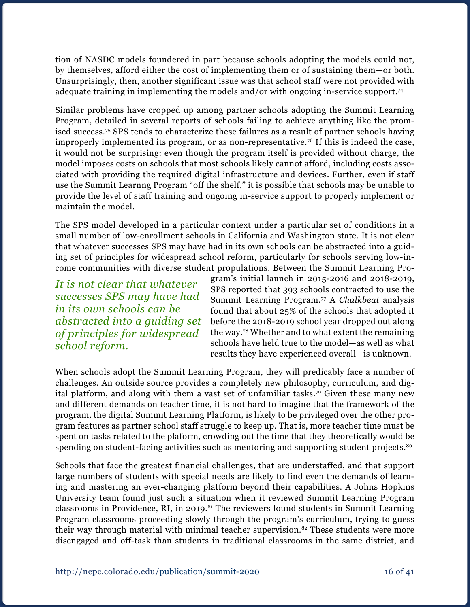tion of NASDC models foundered in part because schools adopting the models could not, by themselves, afford either the cost of implementing them or of sustaining them—or both. Unsurprisingly, then, another significant issue was that school staff were not provided with adequate training in implementing the models and/or with ongoing in-service support.74

Similar problems have cropped up among partner schools adopting the Summit Learning Program, detailed in several reports of schools failing to achieve anything like the promised success.75 SPS tends to characterize these failures as a result of partner schools having improperly implemented its program, or as non-representative.76 If this is indeed the case, it would not be surprising: even though the program itself is provided without charge, the model imposes costs on schools that most schools likely cannot afford, including costs associated with providing the required digital infrastructure and devices. Further, even if staff use the Summit Learnng Program "off the shelf," it is possible that schools may be unable to provide the level of staff training and ongoing in-service support to properly implement or maintain the model.

The SPS model developed in a particular context under a particular set of conditions in a small number of low-enrollment schools in California and Washington state. It is not clear that whatever successes SPS may have had in its own schools can be abstracted into a guiding set of principles for widespread school reform, particularly for schools serving low-income communities with diverse student propulations. Between the Summit Learning Pro-

*It is not clear that whatever successes SPS may have had in its own schools can be abstracted into a guiding set of principles for widespread school reform.*

gram's initial launch in 2015-2016 and 2018-2019, SPS reported that 393 schools contracted to use the Summit Learning Program.77 A *Chalkbeat* analysis found that about 25% of the schools that adopted it before the 2018-2019 school year dropped out along the way.78 Whether and to what extent the remaining schools have held true to the model—as well as what results they have experienced overall—is unknown.

When schools adopt the Summit Learning Program, they will predicably face a number of challenges. An outside source provides a completely new philosophy, curriculum, and digital platform, and along with them a vast set of unfamiliar tasks.79 Given these many new and different demands on teacher time, it is not hard to imagine that the framework of the program, the digital Summit Learning Platform, is likely to be privileged over the other program features as partner school staff struggle to keep up. That is, more teacher time must be spent on tasks related to the plaform, crowding out the time that they theoretically would be spending on student-facing activities such as mentoring and supporting student projects.<sup>80</sup>

Schools that face the greatest financial challenges, that are understaffed, and that support large numbers of students with special needs are likely to find even the demands of learning and mastering an ever-changing platform beyond their capabilities. A Johns Hopkins University team found just such a situation when it reviewed Summit Learning Program classrooms in Providence, RI, in 2019.<sup>81</sup> The reviewers found students in Summit Learning Program classrooms proceeding slowly through the program's curriculum, trying to guess their way through material with minimal teacher supervision.<sup>82</sup> These students were more disengaged and off-task than students in traditional classrooms in the same district, and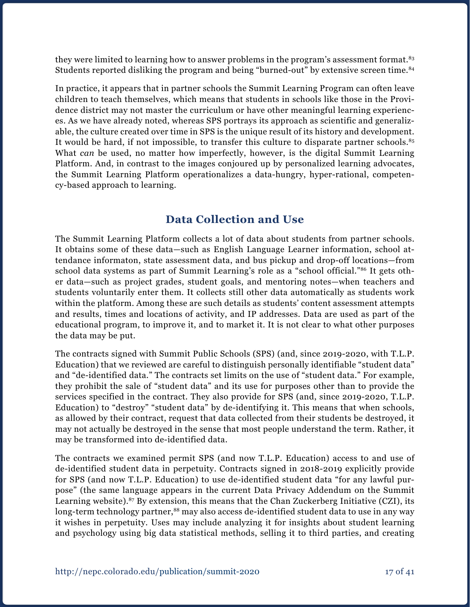they were limited to learning how to answer problems in the program's assessment format.<sup>83</sup> Students reported disliking the program and being "burned-out" by extensive screen time.84

In practice, it appears that in partner schools the Summit Learning Program can often leave children to teach themselves, which means that students in schools like those in the Providence district may not master the curriculum or have other meaningful learning experiences. As we have already noted, whereas SPS portrays its approach as scientific and generalizable, the culture created over time in SPS is the unique result of its history and development. It would be hard, if not impossible, to transfer this culture to disparate partner schools.<sup>85</sup> What *can* be used, no matter how imperfectly, however, is the digital Summit Learning Platform. And, in contrast to the images conjoured up by personalized learning advocates, the Summit Learning Platform operationalizes a data-hungry, hyper-rational, competency-based approach to learning.

### **Data Collection and Use**

The Summit Learning Platform collects a lot of data about students from partner schools. It obtains some of these data—such as English Language Learner information, school attendance informaton, state assessment data, and bus pickup and drop-off locations—from school data systems as part of Summit Learning's role as a "school official."86 It gets other data—such as project grades, student goals, and mentoring notes—when teachers and students voluntarily enter them. It collects still other data automatically as students work within the platform. Among these are such details as students' content assessment attempts and results, times and locations of activity, and IP addresses. Data are used as part of the educational program, to improve it, and to market it. It is not clear to what other purposes the data may be put.

The contracts signed with Summit Public Schools (SPS) (and, since 2019-2020, with T.L.P. Education) that we reviewed are careful to distinguish personally identifiable "student data" and "de-identified data." The contracts set limits on the use of "student data." For example, they prohibit the sale of "student data" and its use for purposes other than to provide the services specified in the contract. They also provide for SPS (and, since 2019-2020, T.L.P. Education) to "destroy" "student data" by de-identifying it. This means that when schools, as allowed by their contract, request that data collected from their students be destroyed, it may not actually be destroyed in the sense that most people understand the term. Rather, it may be transformed into de-identified data.

The contracts we examined permit SPS (and now T.L.P. Education) access to and use of de-identified student data in perpetuity. Contracts signed in 2018-2019 explicitly provide for SPS (and now T.L.P. Education) to use de-identified student data "for any lawful purpose" (the same language appears in the current Data Privacy Addendum on the Summit Learning website).<sup>87</sup> By extension, this means that the Chan Zuckerberg Initiative (CZI), its long-term technology partner,<sup>88</sup> may also access de-identified student data to use in any way it wishes in perpetuity. Uses may include analyzing it for insights about student learning and psychology using big data statistical methods, selling it to third parties, and creating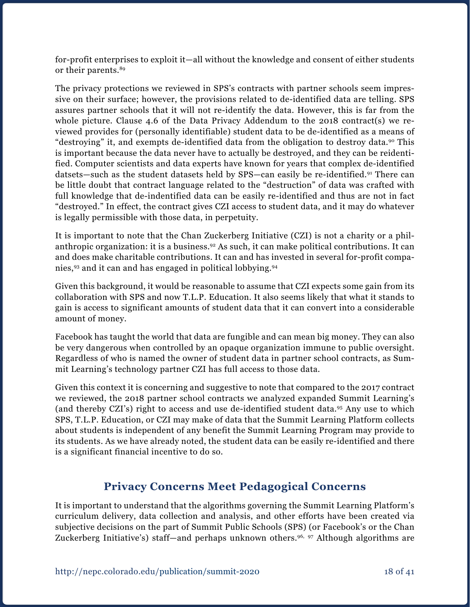for-profit enterprises to exploit it—all without the knowledge and consent of either students or their parents.89

The privacy protections we reviewed in SPS's contracts with partner schools seem impressive on their surface; however, the provisions related to de-identified data are telling. SPS assures partner schools that it will not re-identify the data. However, this is far from the whole picture. Clause 4.6 of the Data Privacy Addendum to the 2018 contract(s) we reviewed provides for (personally identifiable) student data to be de-identified as a means of "destroying" it, and exempts de-identified data from the obligation to destroy data.<sup>90</sup> This is important because the data never have to actually be destroyed, and they can be reidentified. Computer scientists and data experts have known for years that complex de-identified datsets—such as the student datasets held by SPS—can easily be re-identified.91 There can be little doubt that contract language related to the "destruction" of data was crafted with full knowledge that de-indentified data can be easily re-identified and thus are not in fact "destroyed." In effect, the contract gives CZI access to student data, and it may do whatever is legally permissible with those data, in perpetuity.

It is important to note that the Chan Zuckerberg Initiative (CZI) is not a charity or a philanthropic organization: it is a business.92 As such, it can make political contributions. It can and does make charitable contributions. It can and has invested in several for-profit companies,93 and it can and has engaged in political lobbying.94

Given this background, it would be reasonable to assume that CZI expects some gain from its collaboration with SPS and now T.L.P. Education. It also seems likely that what it stands to gain is access to significant amounts of student data that it can convert into a considerable amount of money.

Facebook has taught the world that data are fungible and can mean big money. They can also be very dangerous when controlled by an opaque organization immune to public oversight. Regardless of who is named the owner of student data in partner school contracts, as Summit Learning's technology partner CZI has full access to those data.

Given this context it is concerning and suggestive to note that compared to the 2017 contract we reviewed, the 2018 partner school contracts we analyzed expanded Summit Learning's (and thereby CZI's) right to access and use de-identified student data.95 Any use to which SPS, T.L.P. Education, or CZI may make of data that the Summit Learning Platform collects about students is independent of any benefit the Summit Learning Program may provide to its students. As we have already noted, the student data can be easily re-identified and there is a significant financial incentive to do so.

### **Privacy Concerns Meet Pedagogical Concerns**

It is important to understand that the algorithms governing the Summit Learning Platform's curriculum delivery, data collection and analysis, and other efforts have been created via subjective decisions on the part of Summit Public Schools (SPS) (or Facebook's or the Chan Zuckerberg Initiative's) staff—and perhaps unknown others.<sup>96, 97</sup> Although algorithms are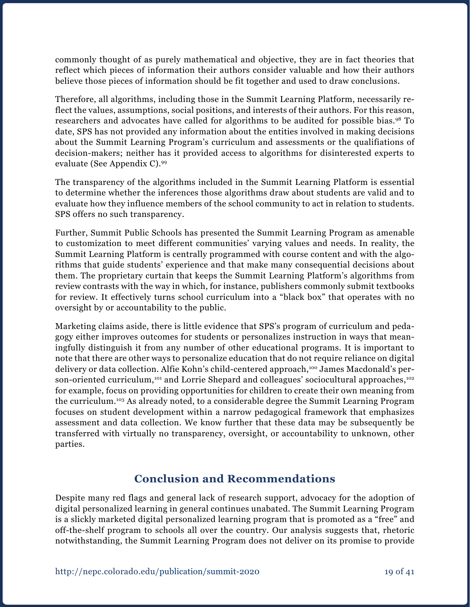commonly thought of as purely mathematical and objective, they are in fact theories that reflect which pieces of information their authors consider valuable and how their authors believe those pieces of information should be fit together and used to draw conclusions.

Therefore, all algorithms, including those in the Summit Learning Platform, necessarily reflect the values, assumptions, social positions, and interests of their authors. For this reason, researchers and advocates have called for algorithms to be audited for possible bias.98 To date, SPS has not provided any information about the entities involved in making decisions about the Summit Learning Program's curriculum and assessments or the qualifiations of decision-makers; neither has it provided access to algorithms for disinterested experts to evaluate (See Appendix C).99

The transparency of the algorithms included in the Summit Learning Platform is essential to determine whether the inferences those algorithms draw about students are valid and to evaluate how they influence members of the school community to act in relation to students. SPS offers no such transparency.

Further, Summit Public Schools has presented the Summit Learning Program as amenable to customization to meet different communities' varying values and needs. In reality, the Summit Learning Platform is centrally programmed with course content and with the algorithms that guide students' experience and that make many consequential decisions about them. The proprietary curtain that keeps the Summit Learning Platform's algorithms from review contrasts with the way in which, for instance, publishers commonly submit textbooks for review. It effectively turns school curriculum into a "black box" that operates with no oversight by or accountability to the public.

Marketing claims aside, there is little evidence that SPS's program of curriculum and pedagogy either improves outcomes for students or personalizes instruction in ways that meaningfully distinguish it from any number of other educational programs. It is important to note that there are other ways to personalize education that do not require reliance on digital delivery or data collection. Alfie Kohn's child-centered approach,100 James Macdonald's person-oriented curriculum,<sup>101</sup> and Lorrie Shepard and colleagues' sociocultural approaches,<sup>102</sup> for example, focus on providing opportunities for children to create their own meaning from the curriculum.103 As already noted, to a considerable degree the Summit Learning Program focuses on student development within a narrow pedagogical framework that emphasizes assessment and data collection. We know further that these data may be subsequently be transferred with virtually no transparency, oversight, or accountability to unknown, other parties.

### **Conclusion and Recommendations**

Despite many red flags and general lack of research support, advocacy for the adoption of digital personalized learning in general continues unabated. The Summit Learning Program is a slickly marketed digital personalized learning program that is promoted as a "free" and off-the-shelf program to schools all over the country. Our analysis suggests that, rhetoric notwithstanding, the Summit Learning Program does not deliver on its promise to provide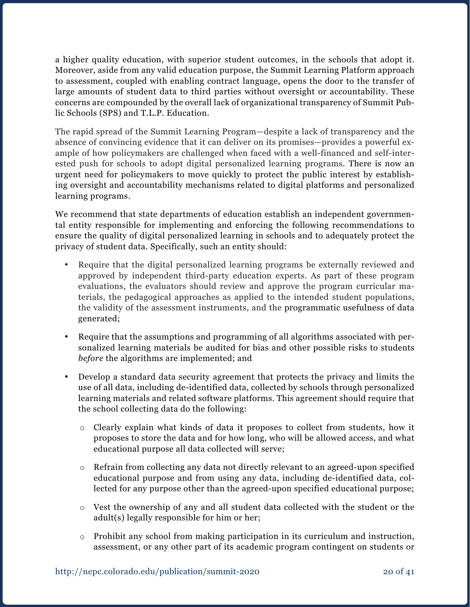a higher quality education, with superior student outcomes, in the schools that adopt it. Moreover, aside from any valid education purpose, the Summit Learning Platform approach to assessment, coupled with enabling contract language, opens the door to the transfer of large amounts of student data to third parties without oversight or accountability. These concerns are compounded by the overall lack of organizational transparency of Summit Public Schools (SPS) and T.L.P. Education.

The rapid spread of the Summit Learning Program—despite a lack of transparency and the absence of convincing evidence that it can deliver on its promises—provides a powerful example of how policymakers are challenged when faced with a well-financed and self-interested push for schools to adopt digital personalized learning programs. There is now an urgent need for policymakers to move quickly to protect the public interest by establishing oversight and accountability mechanisms related to digital platforms and personalized learning programs.

We recommend that state departments of education establish an independent governmental entity responsible for implementing and enforcing the following recommendations to ensure the quality of digital personalized learning in schools and to adequately protect the privacy of student data. Specifically, such an entity should:

- Require that the digital personalized learning programs be externally reviewed and approved by independent third-party education experts. As part of these program evaluations, the evaluators should review and approve the program curricular materials, the pedagogical approaches as applied to the intended student populations, the validity of the assessment instruments, and the programmatic usefulness of data generated;
- Require that the assumptions and programming of all algorithms associated with personalized learning materials be audited for bias and other possible risks to students *before* the algorithms are implemented; and
- Develop a standard data security agreement that protects the privacy and limits the use of all data, including de-identified data, collected by schools through personalized learning materials and related software platforms. This agreement should require that the school collecting data do the following:
	- o Clearly explain what kinds of data it proposes to collect from students, how it proposes to store the data and for how long, who will be allowed access, and what educational purpose all data collected will serve;
	- o Refrain from collecting any data not directly relevant to an agreed-upon specified educational purpose and from using any data, including de-identified data, collected for any purpose other than the agreed-upon specified educational purpose;
	- o Vest the ownership of any and all student data collected with the student or the adult(s) legally responsible for him or her;
	- o Prohibit any school from making participation in its curriculum and instruction, assessment, or any other part of its academic program contingent on students or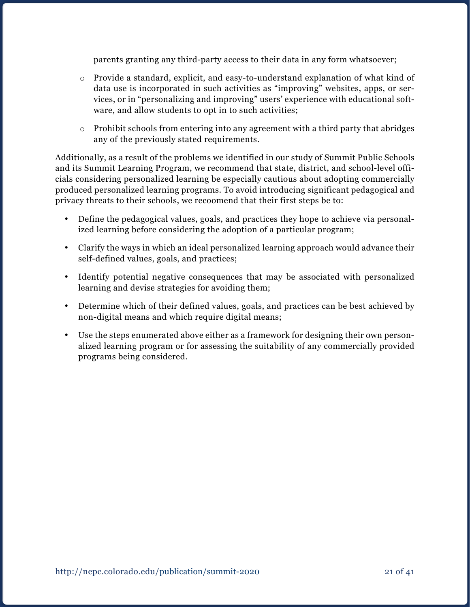parents granting any third-party access to their data in any form whatsoever;

- o Provide a standard, explicit, and easy-to-understand explanation of what kind of data use is incorporated in such activities as "improving" websites, apps, or services, or in "personalizing and improving" users' experience with educational software, and allow students to opt in to such activities;
- $\circ$  Prohibit schools from entering into any agreement with a third party that abridges any of the previously stated requirements.

Additionally, as a result of the problems we identified in our study of Summit Public Schools and its Summit Learning Program, we recommend that state, district, and school-level officials considering personalized learning be especially cautious about adopting commercially produced personalized learning programs. To avoid introducing significant pedagogical and privacy threats to their schools, we recoomend that their first steps be to:

- Define the pedagogical values, goals, and practices they hope to achieve via personalized learning before considering the adoption of a particular program;
- Clarify the ways in which an ideal personalized learning approach would advance their self-defined values, goals, and practices;
- Identify potential negative consequences that may be associated with personalized learning and devise strategies for avoiding them;
- Determine which of their defined values, goals, and practices can be best achieved by non-digital means and which require digital means;
- • Use the steps enumerated above either as a framework for designing their own personalized learning program or for assessing the suitability of any commercially provided programs being considered.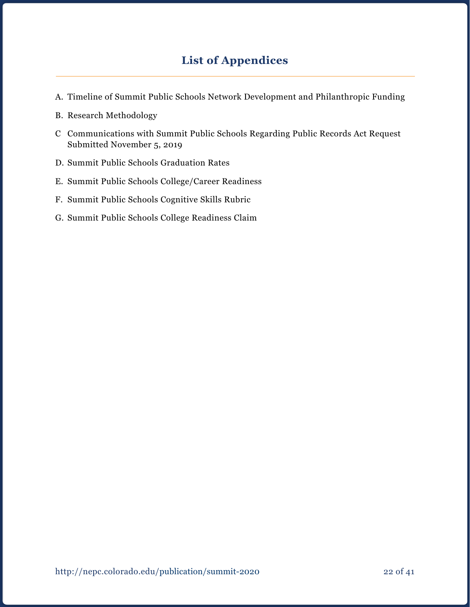## **List of Appendices**

- A. Timeline of Summit Public Schools Network Development and Philanthropic Funding
- B. Research Methodology
- C Communications with Summit Public Schools Regarding Public Records Act Request Submitted November 5, 2019
- D. Summit Public Schools Graduation Rates
- E. Summit Public Schools College/Career Readiness
- F. Summit Public Schools Cognitive Skills Rubric
- G. Summit Public Schools College Readiness Claim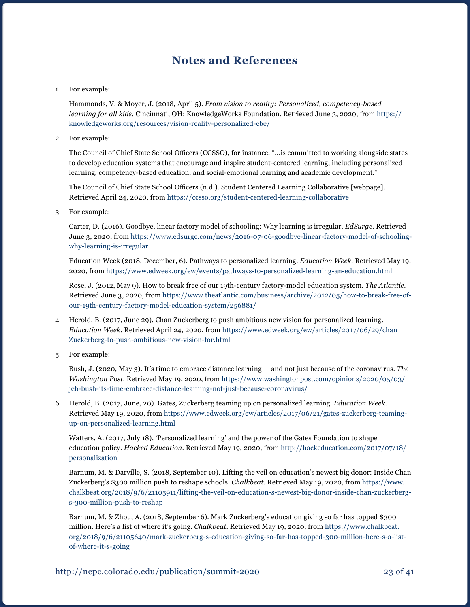### **Notes and References**

#### 1 For example:

Hammonds, V. & Moyer, J. (2018, April 5). *From vision to reality: Personalized, competency-based learning for all kids*. Cincinnati, OH: KnowledgeWorks Foundation. Retrieved June 3, 2020, from [https://](https://knowledgeworks.org/resources/vision-reality-personalized-cbe/) [knowledgeworks.org/resources/vision-reality-personalized-cbe/](https://knowledgeworks.org/resources/vision-reality-personalized-cbe/)

2 For example:

 The Council of Chief State School Officers (CCSSO), for instance, "...is committed to working alongside states to develop education systems that encourage and inspire student-centered learning, including personalized learning, competency-based education, and social-emotional learning and academic development."

 The Council of Chief State School Officers (n.d.). Student Centered Learning Collaborative [webpage]. Retrieved April 24, 2020, from <https://ccsso.org/student-centered-learning-collaborative>

3 For example:

Carter, D. (2016). Goodbye, linear factory model of schooling: Why learning is irregular. *EdSurge*. Retrieved June 3, 2020, from [https://www.edsurge.com/news/2016-07-06-goodbye-linear-factory-model-of-schooling](https://www.edsurge.com/news/2016-07-06-goodbye-linear-factory-model-of-schooling-why-learning-is-irregular)[why-learning-is-irregular](https://www.edsurge.com/news/2016-07-06-goodbye-linear-factory-model-of-schooling-why-learning-is-irregular)

Education Week (2018, December, 6). Pathways to personalized learning. *Education Week*. Retrieved May 19, 2020, from<https://www.edweek.org/ew/events/pathways-to-personalized-learning-an-education.html>

Rose, J. (2012, May 9). How to break free of our 19th-century factory-model education system. *The Atlantic*. Retrieved June 3, 2020, from [https://www.theatlantic.com/business/archive/2012/05/how-to-break-free-of](https://www.theatlantic.com/business/archive/2012/05/how-to-break-free-of-our-19th-century-factory-model-education-system/256881/)[our-19th-century-factory-model-education-system/256881/](https://www.theatlantic.com/business/archive/2012/05/how-to-break-free-of-our-19th-century-factory-model-education-system/256881/) 

- 4 Herold, B. (2017, June 29). Chan Zuckerberg to push ambitious new vision for personalized learning. *Education Week*. Retrieved April 24, 2020, from [https://www.edweek.org/ew/articles/2017/06/29/chan](https://www.edweek.org/ew/articles/2017/06/29/chan-zuckerberg-to-push-ambitious-new-vision-for.html)  [Zuckerberg-to-push-ambitious-new-vision-for.html](https://www.edweek.org/ew/articles/2017/06/29/chan-zuckerberg-to-push-ambitious-new-vision-for.html)
- 5 For example:

Bush, J. (2020, May 3). It's time to embrace distance learning — and not just because of the coronavirus. *The Washington Post*. Retrieved May 19, 2020, from [https://www.washingtonpost.com/opinions/2020/05/03/](https://www.washingtonpost.com/opinions/2020/05/03/jeb-bush-its-time-embrace-distance-learning-not-just-because-coronavirus/) [jeb-bush-its-time-embrace-distance-learning-not-just-because-coronavirus/](https://www.washingtonpost.com/opinions/2020/05/03/jeb-bush-its-time-embrace-distance-learning-not-just-because-coronavirus/)

6 Herold, B. (2017, June, 20). Gates, Zuckerberg teaming up on personalized learning. *Education Week*. Retrieved May 19, 2020, from [https://www.edweek.org/ew/articles/2017/06/21/gates-zuckerberg-teaming](https://www.edweek.org/ew/articles/2017/06/21/gates-zuckerberg-teaming-up-on-personalized-learning.html)[up-on-personalized-learning.html](https://www.edweek.org/ew/articles/2017/06/21/gates-zuckerberg-teaming-up-on-personalized-learning.html)

Watters, A. (2017, July 18). 'Personalized learning' and the power of the Gates Foundation to shape education policy. *Hacked Education*. Retrieved May 19, 2020, from [http://hackeducation.com/2017/07/18/](http://hackeducation.com/2017/07/18/personalization) [personalization](http://hackeducation.com/2017/07/18/personalization)

Barnum, M. & Darville, S. (2018, September 10). Lifting the veil on education's newest big donor: Inside Chan Zuckerberg's \$300 million push to reshape schools. *Chalkbeat*. Retrieved May 19, 2020, from [https://www.](https://www.chalkbeat.org/2018/9/6/21105911/lifting-the-veil-on-education-s-newest-big-donor-inside-chan-zuckerberg-s-300-million-push-to-reshap) [chalkbeat.org/2018/9/6/21105911/lifting-the-veil-on-education-s-newest-big-donor-inside-chan-zuckerberg](https://www.chalkbeat.org/2018/9/6/21105911/lifting-the-veil-on-education-s-newest-big-donor-inside-chan-zuckerberg-s-300-million-push-to-reshap)[s-300-million-push-to-reshap](https://www.chalkbeat.org/2018/9/6/21105911/lifting-the-veil-on-education-s-newest-big-donor-inside-chan-zuckerberg-s-300-million-push-to-reshap)

Barnum, M. & Zhou, A. (2018, September 6). Mark Zuckerberg's education giving so far has topped \$300 million. Here's a list of where it's going. *Chalkbeat*. Retrieved May 19, 2020, from [https://www.chalkbeat.](https://www.chalkbeat.org/2018/9/6/21105640/mark-zuckerberg-s-education-giving-so-far-has-topped-300-million-here-s-a-list-of-where-it-s-going) [org/2018/9/6/21105640/mark-zuckerberg-s-education-giving-so-far-has-topped-300-million-here-s-a-list](https://www.chalkbeat.org/2018/9/6/21105640/mark-zuckerberg-s-education-giving-so-far-has-topped-300-million-here-s-a-list-of-where-it-s-going)[of-where-it-s-going](https://www.chalkbeat.org/2018/9/6/21105640/mark-zuckerberg-s-education-giving-so-far-has-topped-300-million-here-s-a-list-of-where-it-s-going)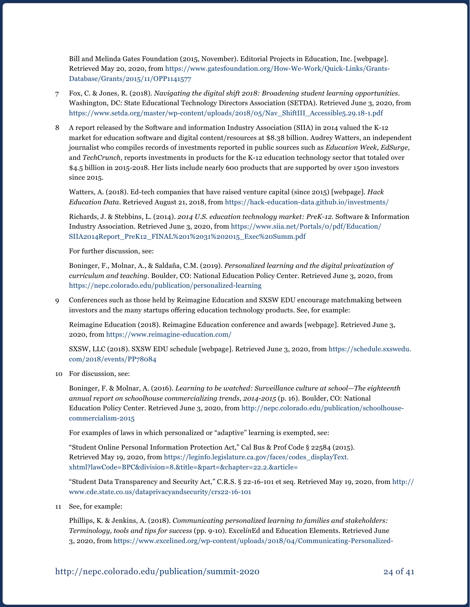Bill and Melinda Gates Foundation (2015, November). Editorial Projects in Education, Inc. [webpage]. Retrieved May 20, 2020, from [https://www.gatesfoundation.org/How-We-Work/Quick-Links/Grants-](https://www.gatesfoundation.org/How-We-Work/Quick-Links/Grants-Database/Grants/2015/11/OPP1141577)[Database/Grants/2015/11/OPP1141577](https://www.gatesfoundation.org/How-We-Work/Quick-Links/Grants-Database/Grants/2015/11/OPP1141577)

- 7 Fox, C. & Jones, R. (2018). *Navigating the digital shift 2018: Broadening student learning opportunities*. Washington, DC: State Educational Technology Directors Association (SETDA). Retrieved June 3, 2020, from [https://www.setda.org/master/wp-content/uploads/2018/05/Nav\\_ShiftIII\\_Accessible5.29.18-1.pdf](https://www.setda.org/master/wp-content/uploads/2018/05/Nav_ShiftIII_Accessible5.29.18-1.pdf)
- 8 A report released by the Software and information Industry Association (SIIA) in 2014 valued the K-12 market for education software and digital content/resources at \$8.38 billion. Audrey Watters, an independent journalist who compiles records of investments reported in public sources such as *Education Week*, *EdSurge*, and *TechCrunch*, reports investments in products for the K-12 education technology sector that totaled over \$4.5 billion in 2015-2018. Her lists include nearly 600 products that are supported by over 1500 investors since 2015.

Watters, A. (2018). Ed-tech companies that have raised venture capital (since 2015) [webpage]. *Hack Education Data*. Retrieved August 21, 2018, from<https://hack-education-data.github.io/investments/>

Richards, J. & Stebbins, L. (2014). *2014 U.S. education technology market: PreK-12*. Software & Information Industry Association. Retrieved June 3, 2020, from [https://www.siia.net/Portals/0/pdf/Education/](https://www.siia.net/Portals/0/pdf/Education/SIIA2014Report_PreK12_FINAL%201%2031%202015_Exec%20Summ.pdf) [SIIA2014Report\\_PreK12\\_FINAL%201%2031%202015\\_Exec%20Summ.pdf](https://www.siia.net/Portals/0/pdf/Education/SIIA2014Report_PreK12_FINAL%201%2031%202015_Exec%20Summ.pdf)

For further discussion, see:

Boninger, F., Molnar, A., & Saldaña, C.M. (2019). *Personalized learning and the digital privatization of curriculum and teaching*. Boulder, CO: National Education Policy Center. Retrieved June 3, 2020, from <https://nepc.colorado.edu/publication/personalized-learning>

9 Conferences such as those held by Reimagine Education and SXSW EDU encourage matchmaking between investors and the many startups offering education technology products. See, for example:

Reimagine Education (2018). Reimagine Education conference and awards [webpage]. Retrieved June 3, 2020, from<https://www.reimagine-education.com/>

SXSW, LLC (2018). SXSW EDU schedule [webpage]. Retrieved June 3, 2020, from [https://schedule.sxswedu.](https://schedule.sxswedu.com/2018/events/PP78084) [com/2018/events/PP78084](https://schedule.sxswedu.com/2018/events/PP78084)

10 For discussion, see:

Boninger, F. & Molnar, A. (2016). *Learning to be watched: Surveillance culture at school—The eighteenth annual report on schoolhouse commercializing trends, 2014-2015* (p. 16). Boulder, CO: National Education Policy Center. Retrieved June 3, 2020, from [http://nepc.colorado.edu/publication/schoolhouse](http://nepc.colorado.edu/publication/schoolhouse-commercialism-2015)[commercialism-2015](http://nepc.colorado.edu/publication/schoolhouse-commercialism-2015)

For examples of laws in which personalized or "adaptive" learning is exempted, see:

"Student Online Personal Information Protection Act," Cal Bus & Prof Code § 22584 (2015). Retrieved May 19, 2020, from [https://leginfo.legislature.ca.gov/faces/codes\\_displayText.](https://leginfo.legislature.ca.gov/faces/codes_displayText.xhtml?lawCode=BPC&division=8.&title=&part=&chapter=22.2.&article=) [xhtml?lawCode=BPC&division=8.&title=&part=&chapter=22.2.&article=](https://leginfo.legislature.ca.gov/faces/codes_displayText.xhtml?lawCode=BPC&division=8.&title=&part=&chapter=22.2.&article=)

"Student Data Transparency and Security Act," C.R.S. § 22-16-101 et seq. Retrieved May 19, 2020, from [http://](http://www.cde.state.co.us/dataprivacyandsecurity/crs22-16-101) [www.cde.state.co.us/dataprivacyandsecurity/crs22-16-101](http://www.cde.state.co.us/dataprivacyandsecurity/crs22-16-101)

11 See, for example:

Phillips, K. & Jenkins, A. (2018). *Communicating personalized learning to families and stakeholders: Terminology, tools and tips for success* (pp. 9-10). Excel*in*Ed and Education Elements. Retrieved June 3, 2020, from [https://www.excelined.org/wp-content/uploads/2018/04/Communicating-Personalized-](https://www.excelined.org/wp-content/uploads/2018/04/Communicating-Personalized-Learning-to-Families-and-Stakeholders.pdf)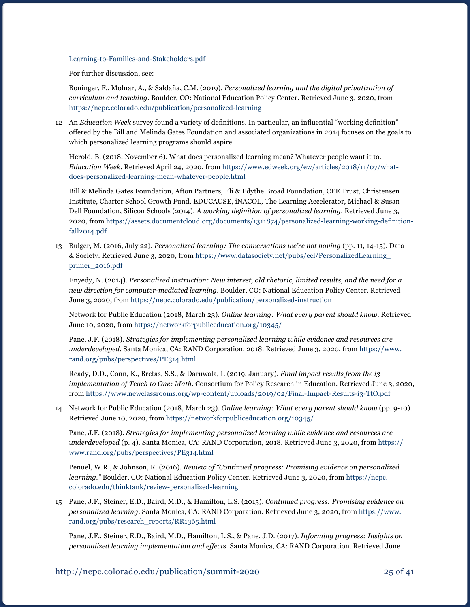[Learning-to-Families-and-Stakeholders.pdf](https://www.excelined.org/wp-content/uploads/2018/04/Communicating-Personalized-Learning-to-Families-and-Stakeholders.pdf)

For further discussion, see:

Boninger, F., Molnar, A., & Saldaña, C.M. (2019). *Personalized learning and the digital privatization of curriculum and teaching*. Boulder, CO: National Education Policy Center. Retrieved June 3, 2020, from <https://nepc.colorado.edu/publication/personalized-learning>

12 An *Education Week* survey found a variety of definitions. In particular, an influential "working definition" offered by the Bill and Melinda Gates Foundation and associated organizations in 2014 focuses on the goals to which personalized learning programs should aspire.

Herold, B. (2018, November 6). What does personalized learning mean? Whatever people want it to. *Education Week*. Retrieved April 24, 2020, from [https://www.edweek.org/ew/articles/2018/11/07/what](https://www.edweek.org/ew/articles/2018/11/07/what-does-personalized-learning-mean-whatever-people.html)[does-personalized-learning-mean-whatever-people.html](https://www.edweek.org/ew/articles/2018/11/07/what-does-personalized-learning-mean-whatever-people.html)

Bill & Melinda Gates Foundation, Afton Partners, Eli & Edythe Broad Foundation, CEE Trust, Christensen Institute, Charter School Growth Fund, EDUCAUSE, iNACOL, The Learning Accelerator, Michael & Susan Dell Foundation, Silicon Schools (2014). *A working definition of personalized learning*. Retrieved June 3, 2020, from [https://assets.documentcloud.org/documents/1311874/personalized-learning-working-definition](https://assets.documentcloud.org/documents/1311874/personalized-learning-working-definition-fall2014.pdf)[fall2014.pdf](https://assets.documentcloud.org/documents/1311874/personalized-learning-working-definition-fall2014.pdf)

13 Bulger, M. (2016, July 22). *Personalized learning: The conversations we're not having* (pp. 11, 14-15). Data & Society. Retrieved June 3, 2020, from [https://www.datasociety.net/pubs/ecl/PersonalizedLearning\\_](https://www.datasociety.net/pubs/ecl/PersonalizedLearning_primer_2016.pdf) [primer\\_2016.pdf](https://www.datasociety.net/pubs/ecl/PersonalizedLearning_primer_2016.pdf) 

Enyedy, N. (2014). *Personalized instruction: New interest, old rhetoric, limited results, and the need for a new direction for computer-mediated learning*. Boulder, CO: National Education Policy Center. Retrieved June 3, 2020, from<https://nepc.colorado.edu/publication/personalized-instruction>

Network for Public Education (2018, March 23). *Online learning: What every parent should know*. Retrieved June 10, 2020, from <https://networkforpubliceducation.org/10345/>

Pane, J.F. (2018). *Strategies for implementing personalized learning while evidence and resources are underdeveloped*. Santa Monica, CA: RAND Corporation, 2018. Retrieved June 3, 2020, from [https://www.](https://www.rand.org/pubs/perspectives/PE314.html) [rand.org/pubs/perspectives/PE314.html](https://www.rand.org/pubs/perspectives/PE314.html)

Ready, D.D., Conn, K., Bretas, S.S., & Daruwala, I. (2019, January). *Final impact results from the i3 implementation of Teach to One: Math*. Consortium for Policy Research in Education. Retrieved June 3, 2020, from <https://www.newclassrooms.org/wp-content/uploads/2019/02/Final-Impact-Results-i3-TtO.pdf>

14 Network for Public Education (2018, March 23). *Online learning: What every parent should know* (pp. 9-10). Retrieved June 10, 2020, from<https://networkforpubliceducation.org/10345/>

Pane, J.F. (2018). *Strategies for implementing personalized learning while evidence and resources are underdeveloped* (p. 4). Santa Monica, CA: RAND Corporation, 2018. Retrieved June 3, 2020, from [https://](https://www.rand.org/pubs/perspectives/PE314.html) [www.rand.org/pubs/perspectives/PE314.html](https://www.rand.org/pubs/perspectives/PE314.html)

Penuel, W.R., & Johnson, R. (2016). *Review of "Continued progress: Promising evidence on personalized learning."* Boulder, CO: National Education Policy Center. Retrieved June 3, 2020, from [https://nepc.](https://nepc.colorado.edu/thinktank/review-personalized-learning) [colorado.edu/thinktank/review-personalized-learning](https://nepc.colorado.edu/thinktank/review-personalized-learning)

15 Pane, J.F., Steiner, E.D., Baird, M.D., & Hamilton, L.S. (2015). *Continued progress: Promising evidence on personalized learning*. Santa Monica, CA: RAND Corporation. Retrieved June 3, 2020, from [https://www.](https://www.rand.org/pubs/research_reports/RR1365.html) [rand.org/pubs/research\\_reports/RR1365.html](https://www.rand.org/pubs/research_reports/RR1365.html)

Pane, J.F., Steiner, E.D., Baird, M.D., Hamilton, L.S., & Pane, J.D. (2017). *Informing progress: Insights on personalized learning implementation and effect*s. Santa Monica, CA: RAND Corporation. Retrieved June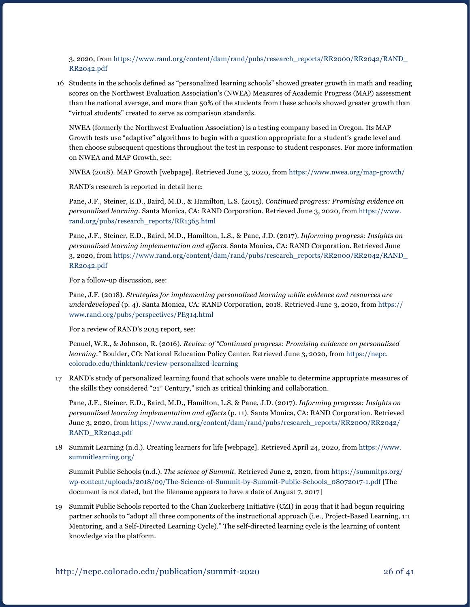3, 2020, from [https://www.rand.org/content/dam/rand/pubs/research\\_reports/RR2000/RR2042/RAND\\_](https://www.rand.org/content/dam/rand/pubs/research_reports/RR2000/RR2042/RAND_RR2042.pdf) [RR2042.pdf](https://www.rand.org/content/dam/rand/pubs/research_reports/RR2000/RR2042/RAND_RR2042.pdf) 

 16 Students in the schools defined as "personalized learning schools" showed greater growth in math and reading scores on the Northwest Evaluation Association's (NWEA) Measures of Academic Progress (MAP) assessment than the national average, and more than 50% of the students from these schools showed greater growth than "virtual students" created to serve as comparison standards.

NWEA (formerly the Northwest Evaluation Association) is a testing company based in Oregon. Its MAP Growth tests use "adaptive" algorithms to begin with a question appropriate for a student's grade level and then choose subsequent questions throughout the test in response to student responses. For more information on NWEA and MAP Growth, see:

NWEA (2018). MAP Growth [webpage]. Retrieved June 3, 2020, from <https://www.nwea.org/map-growth/>

RAND's research is reported in detail here:

Pane, J.F., Steiner, E.D., Baird, M.D., & Hamilton, L.S. (2015). *Continued progress: Promising evidence on personalized learning*. Santa Monica, CA: RAND Corporation. Retrieved June 3, 2020, from [https://www.](https://www.rand.org/pubs/research_reports/RR1365.html) [rand.org/pubs/research\\_reports/RR1365.html](https://www.rand.org/pubs/research_reports/RR1365.html)

Pane, J.F., Steiner, E.D., Baird, M.D., Hamilton, L.S., & Pane, J.D. (2017). *Informing progress: Insights on personalized learning implementation and effect*s. Santa Monica, CA: RAND Corporation. Retrieved June 3, 2020, from [https://www.rand.org/content/dam/rand/pubs/research\\_reports/RR2000/RR2042/RAND\\_](https://www.rand.org/content/dam/rand/pubs/research_reports/RR2000/RR2042/RAND_RR2042.pdf) [RR2042.pdf](https://www.rand.org/content/dam/rand/pubs/research_reports/RR2000/RR2042/RAND_RR2042.pdf) 

For a follow-up discussion, see:

Pane, J.F. (2018). *Strategies for implementing personalized learning while evidence and resources are underdeveloped* (p. 4). Santa Monica, CA: RAND Corporation, 2018. Retrieved June 3, 2020, from [https://](https://www.rand.org/pubs/perspectives/PE314.html) [www.rand.org/pubs/perspectives/PE314.html](https://www.rand.org/pubs/perspectives/PE314.html)

For a review of RAND's 2015 report, see:

Penuel, W.R., & Johnson, R. (2016). *Review of "Continued progress: Promising evidence on personalized learning."* Boulder, CO: National Education Policy Center. Retrieved June 3, 2020, from [https://nepc.](https://nepc.colorado.edu/thinktank/review-personalized-learning) [colorado.edu/thinktank/review-personalized-learning](https://nepc.colorado.edu/thinktank/review-personalized-learning)

17 RAND's study of personalized learning found that schools were unable to determine appropriate measures of the skills they considered "21st Century," such as critical thinking and collaboration.

Pane, J.F., Steiner, E.D., Baird, M.D., Hamilton, L.S, & Pane, J.D. (2017). *Informing progress: Insights on personalized learning implementation and effects* (p. 11). Santa Monica, CA: RAND Corporation. Retrieved June 3, 2020, from [https://www.rand.org/content/dam/rand/pubs/research\\_reports/RR2000/RR2042/](https://www.rand.org/content/dam/rand/pubs/research_reports/RR2000/RR2042/RAND_RR2042.pdf) [RAND\\_RR2042.pdf](https://www.rand.org/content/dam/rand/pubs/research_reports/RR2000/RR2042/RAND_RR2042.pdf)

18 Summit Learning (n.d.). Creating learners for life [webpage]. Retrieved April 24, 2020, from [https://www.](https://www.summitlearning.org/) [summitlearning.org/](https://www.summitlearning.org/)

Summit Public Schools (n.d.). *The science of Summit*. Retrieved June 2, 2020, from [https://summitps.org/](https://summitps.org/wp-content/uploads/2018/09/The-Science-of-Summit-by-Summit-Public-Schools_08072017-1.pdf) [wp-content/uploads/2018/09/The-Science-of-Summit-by-Summit-Public-Schools\\_08072017-1.pdf](https://summitps.org/wp-content/uploads/2018/09/The-Science-of-Summit-by-Summit-Public-Schools_08072017-1.pdf) [The document is not dated, but the filename appears to have a date of August 7, 2017]

19 Summit Public Schools reported to the Chan Zuckerberg Initiative (CZI) in 2019 that it had begun requiring partner schools to "adopt all three components of the instructional approach (i.e., Project-Based Learning, 1:1 Mentoring, and a Self-Directed Learning Cycle)." The self-directed learning cycle is the learning of content knowledge via the platform.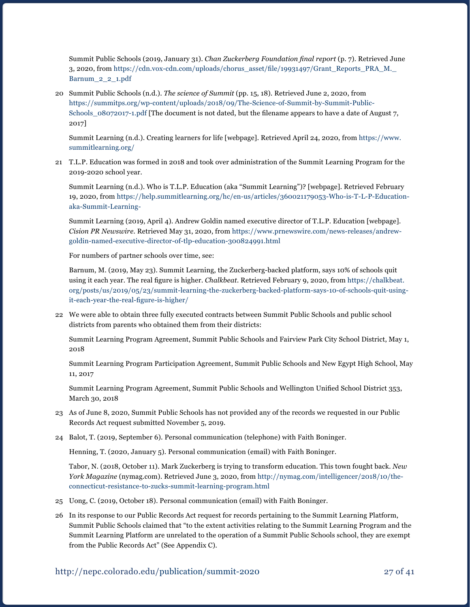Summit Public Schools (2019, January 31). *Chan Zuckerberg Foundation final report* (p. 7). Retrieved June 3, 2020, from [https://cdn.vox-cdn.com/uploads/chorus\\_asset/file/19931497/Grant\\_Reports\\_PRA\\_M.\\_](https://cdn.vox-cdn.com/uploads/chorus_asset/file/19931497/Grant_Reports_PRA_M._Barnum_2_2_1.pdf) [Barnum\\_2\\_2\\_1.pdf](https://cdn.vox-cdn.com/uploads/chorus_asset/file/19931497/Grant_Reports_PRA_M._Barnum_2_2_1.pdf)

20 Summit Public Schools (n.d.). *The science of Summit* (pp. 15, 18). Retrieved June 2, 2020, from [https://summitps.org/wp-content/uploads/2018/09/The-Science-of-Summit-by-Summit-Public-](https://summitps.org/wp-content/uploads/2018/09/The-Science-of-Summit-by-Summit-Public-Schools_08072017-1.pdf)[Schools\\_08072017-1.pdf](https://summitps.org/wp-content/uploads/2018/09/The-Science-of-Summit-by-Summit-Public-Schools_08072017-1.pdf) [The document is not dated, but the filename appears to have a date of August 7, 2017]

Summit Learning (n.d.). Creating learners for life [webpage]. Retrieved April 24, 2020, from [https://www.](https://www.summitlearning.org/) [summitlearning.org/](https://www.summitlearning.org/)

21 T.L.P. Education was formed in 2018 and took over administration of the Summit Learning Program for the 2019-2020 school year.

Summit Learning (n.d.). Who is T.L.P. Education (aka "Summit Learning")? [webpage]. Retrieved February 19, 2020, from [https://help.summitlearning.org/hc/en-us/articles/360021179053-Who-is-T-L-P-Education](https://help.summitlearning.org/hc/en-us/articles/360021179053-Who-is-T-L-P-Education-aka-Summit-Learning-)[aka-Summit-Learning-](https://help.summitlearning.org/hc/en-us/articles/360021179053-Who-is-T-L-P-Education-aka-Summit-Learning-)

Summit Learning (2019, April 4). Andrew Goldin named executive director of T.L.P. Education [webpage]. *Cision PR Newswire*. Retrieved May 31, 2020, from [https://www.prnewswire.com/news-releases/andrew](https://www.prnewswire.com/news-releases/andrew-goldin-named-executive-director-of-tlp-education-300824991.html)[goldin-named-executive-director-of-tlp-education-300824991.html](https://www.prnewswire.com/news-releases/andrew-goldin-named-executive-director-of-tlp-education-300824991.html)

For numbers of partner schools over time, see:

Barnum, M. (2019, May 23). Summit Learning, the Zuckerberg-backed platform, says 10% of schools quit using it each year. The real figure is higher. *Chalkbeat*. Retrieved February 9, 2020, from [https://chalkbeat.](https://chalkbeat.org/posts/us/2019/05/23/summit-learning-the-zuckerberg-backed-platform-says-10-of-schools-quit-using-it-each-year-the-real-figure-is-higher/) [org/posts/us/2019/05/23/summit-learning-the-zuckerberg-backed-platform-says-10-of-schools-quit-using](https://chalkbeat.org/posts/us/2019/05/23/summit-learning-the-zuckerberg-backed-platform-says-10-of-schools-quit-using-it-each-year-the-real-figure-is-higher/)[it-each-year-the-real-figure-is-higher/](https://chalkbeat.org/posts/us/2019/05/23/summit-learning-the-zuckerberg-backed-platform-says-10-of-schools-quit-using-it-each-year-the-real-figure-is-higher/)

22 We were able to obtain three fully executed contracts between Summit Public Schools and public school districts from parents who obtained them from their districts:

Summit Learning Program Agreement, Summit Public Schools and Fairview Park City School District, May 1, 2018

Summit Learning Program Participation Agreement, Summit Public Schools and New Egypt High School, May 11, 2017

 Summit Learning Program Agreement, Summit Public Schools and Wellington Unified School District 353, March 30, 2018

- 23 As of June 8, 2020, Summit Public Schools has not provided any of the records we requested in our Public Records Act request submitted November 5, 2019.
- 24 Balot, T. (2019, September 6). Personal communication (telephone) with Faith Boninger.

Henning, T. (2020, January 5). Personal communication (email) with Faith Boninger.

Tabor, N. (2018, October 11). Mark Zuckerberg is trying to transform education. This town fought back. *New York Magazine* (nymag.com). Retrieved June 3, 2020, from [http://nymag.com/intelligencer/2018/10/the](http://nymag.com/intelligencer/2018/10/the-connecticut-resistance-to-zucks-summit-learning-program.html)[connecticut-resistance-to-zucks-summit-learning-program.html](http://nymag.com/intelligencer/2018/10/the-connecticut-resistance-to-zucks-summit-learning-program.html)

- 25 Uong, C. (2019, October 18). Personal communication (email) with Faith Boninger.
- 26 In its response to our Public Records Act request for records pertaining to the Summit Learning Platform, Summit Public Schools claimed that "to the extent activities relating to the Summit Learning Program and the Summit Learning Platform are unrelated to the operation of a Summit Public Schools school, they are exempt from the Public Records Act" (See Appendix C).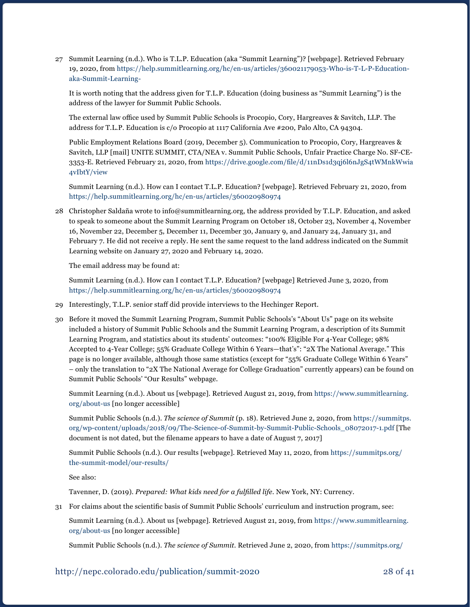27 Summit Learning (n.d.). Who is T.L.P. Education (aka "Summit Learning")? [webpage]. Retrieved February 19, 2020, from [https://help.summitlearning.org/hc/en-us/articles/360021179053-Who-is-T-L-P-Education](https://help.summitlearning.org/hc/en-us/articles/360021179053-Who-is-T-L-P-Education-aka-Summit-Learning-)[aka-Summit-Learning-](https://help.summitlearning.org/hc/en-us/articles/360021179053-Who-is-T-L-P-Education-aka-Summit-Learning-)

It is worth noting that the address given for T.L.P. Education (doing business as "Summit Learning") is the address of the lawyer for Summit Public Schools.

 The external law office used by Summit Public Schools is Procopio, Cory, Hargreaves & Savitch, LLP. The address for T.L.P. Education is c/o Procopio at 1117 California Ave #200, Palo Alto, CA 94304.

Public Employment Relations Board (2019, December 5). Communication to Procopio, Cory, Hargreaves & Savitch, LLP [mail] UNITE SUMMIT, CTA/NEA v. Summit Public Schools, Unfair Practice Charge No. SF-CE-3353-E. Retrieved February 21, 2020, from [https://drive.google.com/file/d/11nDs1d3qj6l6nJgS4tWMnkWwia](https://drive.google.com/file/d/11nDs1d3qj6l6nJgS4tWMnkWwia4vIbtY/view) [4vIbtY/view](https://drive.google.com/file/d/11nDs1d3qj6l6nJgS4tWMnkWwia4vIbtY/view)

Summit Learning (n.d.). How can I contact T.L.P. Education? [webpage]. Retrieved February 21, 2020, from <https://help.summitlearning.org/hc/en-us/articles/360020980974>

28 Christopher Saldaña wrote to info@summitlearning.org, the address provided by T.L.P. Education, and asked to speak to someone about the Summit Learning Program on October 18, October 23, November 4, November 16, November 22, December 5, December 11, December 30, January 9, and January 24, January 31, and February 7. He did not receive a reply. He sent the same request to the land address indicated on the Summit Learning website on January 27, 2020 and February 14, 2020.

The email address may be found at:

Summit Learning (n.d.). How can I contact T.L.P. Education? [webpage] Retrieved June 3, 2020, from <https://help.summitlearning.org/hc/en-us/articles/360020980974>

- 29 Interestingly, T.L.P. senior staff did provide interviews to the Hechinger Report.
- 30 Before it moved the Summit Learning Program, Summit Public Schools's "About Us" page on its website included a history of Summit Public Schools and the Summit Learning Program, a description of its Summit Learning Program, and statistics about its students' outcomes: "100% Eligible For 4-Year College; 98% Accepted to 4-Year College; 55% Graduate College Within 6 Years—that's": "2X The National Average." This page is no longer available, although those same statistics (except for "55% Graduate College Within 6 Years" – only the translation to "2X The National Average for College Graduation" currently appears) can be found on Summit Public Schools' "Our Results" webpage.

Summit Learning (n.d.). About us [webpage]. Retrieved August 21, 2019, from [https://www.summitlearning.](https://www.summitlearning.org/about-us) [org/about-us](https://www.summitlearning.org/about-us) [no longer accessible]

Summit Public Schools (n.d.). *The science of Summit* (p. 18). Retrieved June 2, 2020, from [https://summitps.](https://summitps.org/wp-content/uploads/2018/09/The-Science-of-Summit-by-Summit-Public-Schools_08072017-1.pdf) [org/wp-content/uploads/2018/09/The-Science-of-Summit-by-Summit-Public-Schools\\_08072017-1.pdf](https://summitps.org/wp-content/uploads/2018/09/The-Science-of-Summit-by-Summit-Public-Schools_08072017-1.pdf) [The document is not dated, but the filename appears to have a date of August 7, 2017]

Summit Public Schools (n.d.). Our results [webpage]. Retrieved May 11, 2020, from [https://summitps.org/](https://summitps.org/the-summit-model/our-results/) [the-summit-model/our-results/](https://summitps.org/the-summit-model/our-results/)

See also:

Tavenner, D. (2019). *Prepared: What kids need for a fulfilled life*. New York, NY: Currency.

31 For claims about the scientific basis of Summit Public Schools' curriculum and instruction program, see:

Summit Learning (n.d.). About us [webpage]. Retrieved August 21, 2019, from [https://www.summitlearning.](https://www.summitlearning.org/about-us) [org/about-us](https://www.summitlearning.org/about-us) [no longer accessible]

Summit Public Schools (n.d.). *The science of Summit*. Retrieved June 2, 2020, from [https://summitps.org/](https://summitps.org/wp-content/uploads/2018/09/The-Science-of-Summit-by-Summit-Public-Schools_08072017-1.pdf)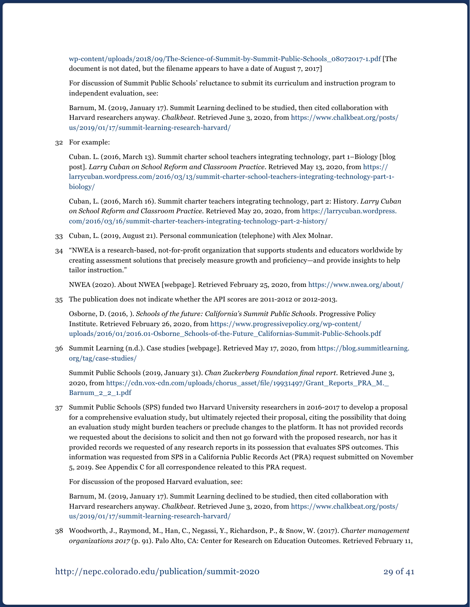[wp-content/uploads/2018/09/The-Science-of-Summit-by-Summit-Public-Schools\\_08072017-1.pdf](https://summitps.org/wp-content/uploads/2018/09/The-Science-of-Summit-by-Summit-Public-Schools_08072017-1.pdf) [The document is not dated, but the filename appears to have a date of August 7, 2017]

For discussion of Summit Public Schools' reluctance to submit its curriculum and instruction program to independent evaluation, see:

Barnum, M. (2019, January 17). Summit Learning declined to be studied, then cited collaboration with Harvard researchers anyway. *Chalkbeat*. Retrieved June 3, 2020, from [https://www.chalkbeat.org/posts/](https://www.chalkbeat.org/posts/us/2019/01/17/summit-learning-research-harvard/) [us/2019/01/17/summit-learning-research-harvard/](https://www.chalkbeat.org/posts/us/2019/01/17/summit-learning-research-harvard/)

32 For example:

Cuban. L. (2016, March 13). Summit charter school teachers integrating technology, part 1–Biology [blog post]. *Larry Cuban on School Reform and Classroom Practice*. Retrieved May 13, 2020, from [https://](https://larrycuban.wordpress.com/2016/03/13/summit-charter-school-teachers-integrating-technology-part-1-biology/) [larrycuban.wordpress.com/2016/03/13/summit-charter-school-teachers-integrating-technology-part-1](https://larrycuban.wordpress.com/2016/03/13/summit-charter-school-teachers-integrating-technology-part-1-biology/) [biology/](https://larrycuban.wordpress.com/2016/03/13/summit-charter-school-teachers-integrating-technology-part-1-biology/)

Cuban, L. (2016, March 16). Summit charter teachers integrating technology, part 2: History. *Larry Cuban on School Reform and Classroom Practice*. Retrieved May 20, 2020, from [https://larrycuban.wordpress.](https://larrycuban.wordpress.com/2016/03/16/summit-charter-teachers-integrating-technology-part-2-history/) [com/2016/03/16/summit-charter-teachers-integrating-technology-part-2-history/](https://larrycuban.wordpress.com/2016/03/16/summit-charter-teachers-integrating-technology-part-2-history/)

- 33 Cuban, L. (2019, August 21). Personal communication (telephone) with Alex Molnar.
- 34 "NWEA is a research-based, not-for-profit organization that supports students and educators worldwide by creating assessment solutions that precisely measure growth and proficiency—and provide insights to help tailor instruction."

NWEA (2020). About NWEA [webpage]. Retrieved February 25, 2020, from <https://www.nwea.org/about/>

35 The publication does not indicate whether the API scores are 2011-2012 or 2012-2013.

Osborne, D. (2016, ). *Schools of the future: California's Summit Public Schools*. Progressive Policy Institute. Retrieved February 26, 2020, from [https://www.progressivepolicy.org/wp-content/](https://www.progressivepolicy.org/wp-content/uploads/2016/01/2016.01-Osborne_Schools-of-the-Future_Californias-Summit-Public-Schools.pdf) [uploads/2016/01/2016.01-Osborne\\_Schools-of-the-Future\\_Californias-Summit-Public-Schools.pdf](https://www.progressivepolicy.org/wp-content/uploads/2016/01/2016.01-Osborne_Schools-of-the-Future_Californias-Summit-Public-Schools.pdf)

36 Summit Learning (n.d.). Case studies [webpage]. Retrieved May 17, 2020, from [https://blog.summitlearning.](https://blog.summitlearning.org/tag/case-studies/) [org/tag/case-studies/](https://blog.summitlearning.org/tag/case-studies/)

Summit Public Schools (2019, January 31). *Chan Zuckerberg Foundation final report*. Retrieved June 3, 2020, from [https://cdn.vox-cdn.com/uploads/chorus\\_asset/file/19931497/Grant\\_Reports\\_PRA\\_M.\\_](https://cdn.vox-cdn.com/uploads/chorus_asset/file/19931497/Grant_Reports_PRA_M._Barnum_2_2_1.pdf) [Barnum\\_2\\_2\\_1.pdf](https://cdn.vox-cdn.com/uploads/chorus_asset/file/19931497/Grant_Reports_PRA_M._Barnum_2_2_1.pdf)

37 Summit Public Schools (SPS) funded two Harvard University researchers in 2016-2017 to develop a proposal for a comprehensive evaluation study, but ultimately rejected their proposal, citing the possibility that doing an evaluation study might burden teachers or preclude changes to the platform. It has not provided records we requested about the decisions to solicit and then not go forward with the proposed research, nor has it provided records we requested of any research reports in its possession that evaluates SPS outcomes. This information was requested from SPS in a California Public Records Act (PRA) request submitted on November 5, 2019. See Appendix C for all correspondence releated to this PRA request.

For discussion of the proposed Harvard evaluation, see:

Barnum, M. (2019, January 17). Summit Learning declined to be studied, then cited collaboration with Harvard researchers anyway. *Chalkbeat*. Retrieved June 3, 2020, from [https://www.chalkbeat.org/posts/](https://www.chalkbeat.org/posts/us/2019/01/17/summit-learning-research-harvard/) [us/2019/01/17/summit-learning-research-harvard/](https://www.chalkbeat.org/posts/us/2019/01/17/summit-learning-research-harvard/)

38 Woodworth, J., Raymond, M., Han, C., Negassi, Y., Richardson, P., & Snow, W. (2017). *Charter management organizations 2017* (p. 91). Palo Alto, CA: Center for Research on Education Outcomes. Retrieved February 11,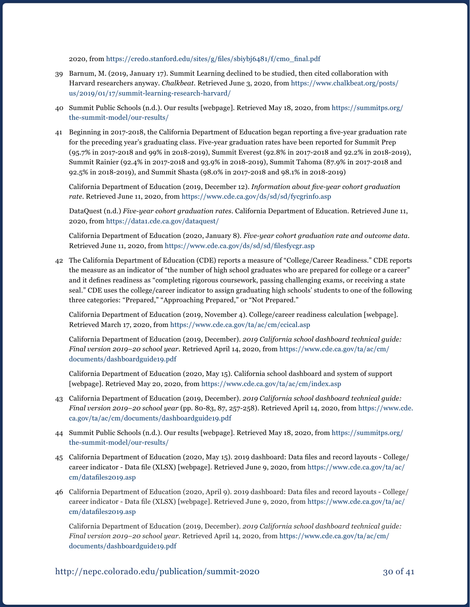2020, from [https://credo.stanford.edu/sites/g/files/sbiybj6481/f/cmo\\_final.pdf](https://credo.stanford.edu/sites/g/files/sbiybj6481/f/cmo_final.pdf)

- 39 Barnum, M. (2019, January 17). Summit Learning declined to be studied, then cited collaboration with Harvard researchers anyway. *Chalkbeat*. Retrieved June 3, 2020, from [https://www.chalkbeat.org/posts/](https://www.chalkbeat.org/posts/us/2019/01/17/summit-learning-research-harvard/) [us/2019/01/17/summit-learning-research-harvard/](https://www.chalkbeat.org/posts/us/2019/01/17/summit-learning-research-harvard/)
- 40 Summit Public Schools (n.d.). Our results [webpage]. Retrieved May 18, 2020, from [https://summitps.org/](https://summitps.org/the-summit-model/our-results/) [the-summit-model/our-results/](https://summitps.org/the-summit-model/our-results/)
- 41 Beginning in 2017-2018, the California Department of Education began reporting a five-year graduation rate for the preceding year's graduating class. Five-year graduation rates have been reported for Summit Prep (95.7% in 2017-2018 and 99% in 2018-2019), Summit Everest (92.8% in 2017-2018 and 92.2% in 2018-2019), Summit Rainier (92.4% in 2017-2018 and 93.9% in 2018-2019), Summit Tahoma (87.9% in 2017-2018 and 92.5% in 2018-2019), and Summit Shasta (98.0% in 2017-2018 and 98.1% in 2018-2019)

California Department of Education (2019, December 12). *Information about five-year cohort graduation rate*. Retrieved June 11, 2020, from <https://www.cde.ca.gov/ds/sd/sd/fycgrinfo.asp>

DataQuest (n.d.) *Five-year cohort graduation rates*. California Department of Education. Retrieved June 11, 2020, from<https://data1.cde.ca.gov/dataquest/>

California Department of Education (2020, January 8). *Five-year cohort graduation rate and outcome data*. Retrieved June 11, 2020, from <https://www.cde.ca.gov/ds/sd/sd/filesfycgr.asp>

42 The California Department of Education (CDE) reports a measure of "College/Career Readiness." CDE reports the measure as an indicator of "the number of high school graduates who are prepared for college or a career" and it defines readiness as "completing rigorous coursework, passing challenging exams, or receiving a state seal." CDE uses the college/career indicator to assign graduating high schools' students to one of the following three categories: "Prepared," "Approaching Prepared," or "Not Prepared."

California Department of Education (2019, November 4). College/career readiness calculation [webpage]. Retrieved March 17, 2020, from <https://www.cde.ca.gov/ta/ac/cm/ccical.asp>

California Department of Education (2019, December). *2019 California school dashboard technical guide: Final version 2019–20 school year*. Retrieved April 14, 2020, from [https://www.cde.ca.gov/ta/ac/cm/](https://www.cde.ca.gov/ta/ac/cm/documents/dashboardguide19.pdf) [documents/dashboardguide19.pdf](https://www.cde.ca.gov/ta/ac/cm/documents/dashboardguide19.pdf)

California Department of Education (2020, May 15). California school dashboard and system of support [webpage]. Retrieved May 20, 2020, from<https://www.cde.ca.gov/ta/ac/cm/index.asp>

- 43 California Department of Education (2019, December). *2019 California school dashboard technical guide: Final version 2019–20 school year* (pp. 80-83, 87, 257-258). Retrieved April 14, 2020, from [https://www.cde.](https://www.cde.ca.gov/ta/ac/cm/documents/dashboardguide19.pdf) [ca.gov/ta/ac/cm/documents/dashboardguide19.pdf](https://www.cde.ca.gov/ta/ac/cm/documents/dashboardguide19.pdf)
- 44 Summit Public Schools (n.d.). Our results [webpage]. Retrieved May 18, 2020, from [https://summitps.org/](https://summitps.org/the-summit-model/our-results/) [the-summit-model/our-results/](https://summitps.org/the-summit-model/our-results/)
- 45 California Department of Education (2020, May 15). 2019 dashboard: Data files and record layouts College/ career indicator - Data file (XLSX) [webpage]. Retrieved June 9, 2020, from [https://www.cde.ca.gov/ta/ac/](https://www.cde.ca.gov/ta/ac/cm/datafiles2019.asp) [cm/datafiles2019.asp](https://www.cde.ca.gov/ta/ac/cm/datafiles2019.asp)
- 46 California Department of Education (2020, April 9). 2019 dashboard: Data files and record layouts College/ career indicator - Data file (XLSX) [webpage]. Retrieved June 9, 2020, from [https://www.cde.ca.gov/ta/ac/](https://www.cde.ca.gov/ta/ac/cm/datafiles2019.asp) [cm/datafiles2019.asp](https://www.cde.ca.gov/ta/ac/cm/datafiles2019.asp)

California Department of Education (2019, December). *2019 California school dashboard technical guide: Final version 2019–20 school year*. Retrieved April 14, 2020, from [https://www.cde.ca.gov/ta/ac/cm/](https://www.cde.ca.gov/ta/ac/cm/documents/dashboardguide19.pdf) [documents/dashboardguide19.pdf](https://www.cde.ca.gov/ta/ac/cm/documents/dashboardguide19.pdf)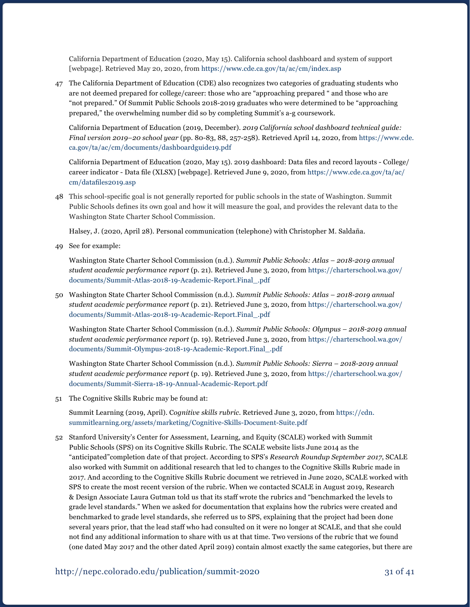California Department of Education (2020, May 15). California school dashboard and system of support [webpage]. Retrieved May 20, 2020, from<https://www.cde.ca.gov/ta/ac/cm/index.asp>

47 The California Department of Education (CDE) also recognizes two categories of graduating students who are not deemed prepared for college/career: those who are "approaching prepared " and those who are "not prepared." Of Summit Public Schools 2018-2019 graduates who were determined to be "approaching prepared," the overwhelming number did so by completing Summit's a-g coursework.

California Department of Education (2019, December). *2019 California school dashboard technical guide: Final version 2019–20 school year* (pp. 80-83, 88, 257-258). Retrieved April 14, 2020, from [https://www.cde.](https://www.cde.ca.gov/ta/ac/cm/documents/dashboardguide19.pdf) [ca.gov/ta/ac/cm/documents/dashboardguide19.pdf](https://www.cde.ca.gov/ta/ac/cm/documents/dashboardguide19.pdf)

 California Department of Education (2020, May 15). 2019 dashboard: Data files and record layouts - College/ career indicator - Data file (XLSX) [webpage]. Retrieved June 9, 2020, from [https://www.cde.ca.gov/ta/ac/](https://www.cde.ca.gov/ta/ac/cm/datafiles2019.asp) [cm/datafiles2019.asp](https://www.cde.ca.gov/ta/ac/cm/datafiles2019.asp)

48 This school-specific goal is not generally reported for public schools in the state of Washington. Summit Public Schools defines its own goal and how it will measure the goal, and provides the relevant data to the Washington State Charter School Commission.

Halsey, J. (2020, April 28). Personal communication (telephone) with Christopher M. Saldaña.

49 See for example:

Washington State Charter School Commission (n.d.). *Summit Public Schools: Atlas – 2018-2019 annual student academic performance report* (p. 21). Retrieved June 3, 2020, from [https://charterschool.wa.gov/](https://charterschool.wa.gov/documents/Summit-Atlas-2018-19-Academic-Report.Final_.pdf) [documents/Summit-Atlas-2018-19-Academic-Report.Final\\_.pdf](https://charterschool.wa.gov/documents/Summit-Atlas-2018-19-Academic-Report.Final_.pdf)

50 Washington State Charter School Commission (n.d.). *Summit Public Schools: Atlas – 2018-2019 annual student academic performance report* (p. 21). Retrieved June 3, 2020, from [https://charterschool.wa.gov/](https://charterschool.wa.gov/documents/Summit-Atlas-2018-19-Academic-Report.Final_.pdf) [documents/Summit-Atlas-2018-19-Academic-Report.Final\\_.pdf](https://charterschool.wa.gov/documents/Summit-Atlas-2018-19-Academic-Report.Final_.pdf)

Washington State Charter School Commission (n.d.). *Summit Public Schools: Olympus – 2018-2019 annual student academic performance report* (p. 19). Retrieved June 3, 2020, from [https://charterschool.wa.gov/](https://charterschool.wa.gov/documents/Summit-Olympus-2018-19-Academic-Report.Final_.pdf) [documents/Summit-Olympus-2018-19-Academic-Report.Final\\_.pdf](https://charterschool.wa.gov/documents/Summit-Olympus-2018-19-Academic-Report.Final_.pdf)

Washington State Charter School Commission (n.d.). *Summit Public Schools: Sierra – 2018-2019 annual student academic performance report* (p. 19). Retrieved June 3, 2020, from [https://charterschool.wa.gov/](https://charterschool.wa.gov/documents/Summit-Sierra-18-19-Annual-Academic-Report.pdf) [documents/Summit-Sierra-18-19-Annual-Academic-Report.pdf](https://charterschool.wa.gov/documents/Summit-Sierra-18-19-Annual-Academic-Report.pdf)

51 The Cognitive Skills Rubric may be found at:

Summit Learning (2019, April). C*ognitive skills rubric*. Retrieved June 3, 2020, from [https://cdn.](https://cdn.summitlearning.org/assets/marketing/Cognitive-Skills-Document-Suite.pdf) [summitlearning.org/assets/marketing/Cognitive-Skills-Document-Suite.pdf](https://cdn.summitlearning.org/assets/marketing/Cognitive-Skills-Document-Suite.pdf)

52 Stanford University's Center for Assessment, Learning, and Equity (SCALE) worked with Summit Public Schools (SPS) on its Cognitive Skills Rubric. The SCALE website lists June 2014 as the "anticipated"completion date of that project. According to SPS's *Research Roundup September 2017*, SCALE also worked with Summit on additional research that led to changes to the Cognitive Skills Rubric made in 2017. And according to the Cognitive Skills Rubric document we retrieved in June 2020, SCALE worked with SPS to create the most recent version of the rubric. When we contacted SCALE in August 2019, Research & Design Associate Laura Gutman told us that its staff wrote the rubrics and "benchmarked the levels to grade level standards." When we asked for documentation that explains how the rubrics were created and benchmarked to grade level standards, she referred us to SPS, explaining that the project had been done several years prior, that the lead staff who had consulted on it were no longer at SCALE, and that she could not find any additional information to share with us at that time. Two versions of the rubric that we found (one dated May 2017 and the other dated April 2019) contain almost exactly the same categories, but there are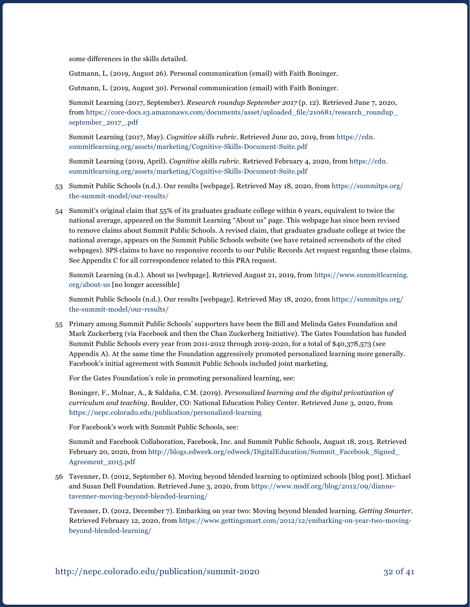some differences in the skills detailed.

Gutmann, L. (2019, August 26). Personal communication (email) with Faith Boninger.

Gutmann, L. (2019, August 30). Personal communication (email) with Faith Boninger.

Summit Learning (2017, September). *Research roundup September 2017* (p. 12). Retrieved June 7, 2020, from [https://core-docs.s3.amazonaws.com/documents/asset/uploaded\\_file/210681/research\\_roundup\\_](https://core-docs.s3.amazonaws.com/documents/asset/uploaded_file/210681/research_roundup_september_2017_.pdf) [september\\_2017\\_.pdf](https://core-docs.s3.amazonaws.com/documents/asset/uploaded_file/210681/research_roundup_september_2017_.pdf) 

Summit Learning (2017, May). *Cognitive skills rubric*. Retrieved June 20, 2019, from [https://cdn.](https://cdn.summitlearning.org/assets/marketing/Cognitive-Skills-Document-Suite.pdf) [summitlearning.org/assets/marketing/Cognitive-Skills-Document-Suite.pdf](https://cdn.summitlearning.org/assets/marketing/Cognitive-Skills-Document-Suite.pdf)

Summit Learning (2019, April). *Cognitive skills rubric*. Retrieved February 4, 2020, from [https://cdn.](https://cdn.summitlearning.org/assets/marketing/Cognitive-Skills-Document-Suite.pdf) [summitlearning.org/assets/marketing/Cognitive-Skills-Document-Suite.pdf](https://cdn.summitlearning.org/assets/marketing/Cognitive-Skills-Document-Suite.pdf)

- 53 Summit Public Schools (n.d.). Our results [webpage]. Retrieved May 18, 2020, from [https://summitps.org/](https://summitps.org/the-summit-model/our-results/) [the-summit-model/our-results/](https://summitps.org/the-summit-model/our-results/)
- 54 Summit's original claim that 55% of its graduates graduate college within 6 years, equivalent to twice the national average, appeared on the Summit Learning "About us" page. This webpage has since been revised to remove claims about Summit Public Schools. A revised claim, that graduates graduate college at twice the national average, appears on the Summit Public Schools website (we have retained screenshots of the cited webpages). SPS claims to have no responsive records to our Public Records Act request regardng these claims. See Appendix C for all correspondence related to this PRA request.

Summit Learning (n.d.). About us [webpage]. Retrieved August 21, 2019, from [https://www.summitlearning.](https://www.summitlearning.org/about-us) [org/about-us](https://www.summitlearning.org/about-us) [no longer accessible]

Summit Public Schools (n.d.). Our results [webpage]. Retrieved May 18, 2020, from [https://summitps.org/](https://summitps.org/the-summit-model/our-results/) [the-summit-model/our-results/](https://summitps.org/the-summit-model/our-results/)

55 Primary among Summit Public Schools' supporters have been the Bill and Melinda Gates Foundation and Mark Zuckerberg (via Facebook and then the Chan Zuckerberg Initiative). The Gates Foundation has funded Summit Public Schools every year from 2011-2012 through 2019-2020, for a total of \$40,378,573 (see Appendix A). At the same time the Foundation aggressively promoted personalized learning more generally. Facebook's initial agreement with Summit Public Schools included joint marketing.

For the Gates Foundation's role in promoting personalized learning, see:

Boninger, F., Molnar, A., & Saldaña, C.M. (2019). *Personalized learning and the digital privatization of curriculum and teaching*. Boulder, CO: National Education Policy Center. Retrieved June 3, 2020, from <https://nepc.colorado.edu/publication/personalized-learning>

For Facebook's work with Summit Public Schools, see:

Summit and Facebook Collaboration, Facebook, Inc. and Summit Public Schools, August 18, 2015. Retrieved February 20, 2020, from [http://blogs.edweek.org/edweek/DigitalEducation/Summit\\_Facebook\\_Signed\\_](http://blogs.edweek.org/edweek/DigitalEducation/Summit_Facebook_Signed_Agreement_2015.pdf) [Agreement\\_2015.pdf](http://blogs.edweek.org/edweek/DigitalEducation/Summit_Facebook_Signed_Agreement_2015.pdf)

56 Tavenner, D. (2012, September 6). Moving beyond blended learning to optimized schools [blog post]. Michael and Susan Dell Foundation. Retrieved June 3, 2020, from [https://www.msdf.org/blog/2012/09/dianne](https://www.msdf.org/blog/2012/09/dianne-tavenner-moving-beyond-blended-learning/)[tavenner-moving-beyond-blended-learning/](https://www.msdf.org/blog/2012/09/dianne-tavenner-moving-beyond-blended-learning/)

Tavenner, D. (2012, December 7). Embarking on year two: Moving beyond blended learning. *Getting Smarter*. Retrieved February 12, 2020, from [https://www.gettingsmart.com/2012/12/embarking-on-year-two-moving](https://www.gettingsmart.com/2012/12/embarking-on-year-two-moving-beyond-blended-learning/)[beyond-blended-learning/](https://www.gettingsmart.com/2012/12/embarking-on-year-two-moving-beyond-blended-learning/)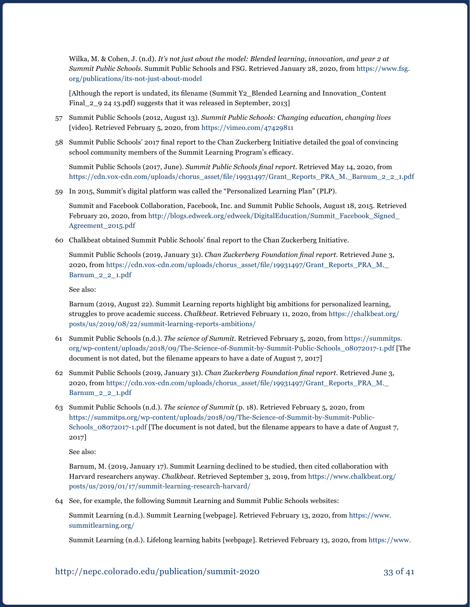Wilka, M. & Cohen, J. (n.d). *It's not just about the model: Blended learning, innovation, and year 2 at Summit Public Schools*. Summit Public Schools and FSG. Retrieved January 28, 2020, from [https://www.fsg.](https://www.fsg.org/publications/its-not-just-about-model) [org/publications/its-not-just-about-model](https://www.fsg.org/publications/its-not-just-about-model)

 [Although the report is undated, its filename (Summit Y2\_Blended Learning and Innovation\_Content Final\_2\_9 24 13.pdf) suggests that it was released in September, 2013]

- 57 Summit Public Schools (2012, August 13). *Summit Public Schools: Changing education, changing lives*  [video]. Retrieved February 5, 2020, from <https://vimeo.com/47429811>
- 58 Summit Public Schools' 2017 final report to the Chan Zuckerberg Initiative detailed the goal of convincing school community members of the Summit Learning Program's efficacy.

Summit Public Schools (2017, June). *Summit Public Schools final report*. Retrieved May 14, 2020, from [https://cdn.vox-cdn.com/uploads/chorus\\_asset/file/19931497/Grant\\_Reports\\_PRA\\_M.\\_Barnum\\_2\\_2\\_1.pdf](https://cdn.vox-cdn.com/uploads/chorus_asset/file/19931497/Grant_Reports_PRA_M._Barnum_2_2_1.pdf)

59 In 2015, Summit's digital platform was called the "Personalized Learning Plan" (PLP).

Summit and Facebook Collaboration, Facebook, Inc. and Summit Public Schools, August 18, 2015. Retrieved February 20, 2020, from [http://blogs.edweek.org/edweek/DigitalEducation/Summit\\_Facebook\\_Signed\\_](http://blogs.edweek.org/edweek/DigitalEducation/Summit_Facebook_Signed_Agreement_2015.pdf) [Agreement\\_2015.pdf](http://blogs.edweek.org/edweek/DigitalEducation/Summit_Facebook_Signed_Agreement_2015.pdf)

60 Chalkbeat obtained Summit Public Schools' final report to the Chan Zuckerberg Initiative.

Summit Public Schools (2019, January 31). *Chan Zuckerberg Foundation final report*. Retrieved June 3, 2020, from [https://cdn.vox-cdn.com/uploads/chorus\\_asset/file/19931497/Grant\\_Reports\\_PRA\\_M.\\_](https://cdn.vox-cdn.com/uploads/chorus_asset/file/19931497/Grant_Reports_PRA_M._Barnum_2_2_1.pdf) [Barnum\\_2\\_2\\_1.pdf](https://cdn.vox-cdn.com/uploads/chorus_asset/file/19931497/Grant_Reports_PRA_M._Barnum_2_2_1.pdf)

See also:

Barnum (2019, August 22). Summit Learning reports highlight big ambitions for personalized learning, struggles to prove academic success. *Chalkbeat*. Retrieved February 11, 2020, from [https://chalkbeat.org/](https://chalkbeat.org/posts/us/2019/08/22/summit-learning-reports-ambitions/) [posts/us/2019/08/22/summit-learning-reports-ambitions/](https://chalkbeat.org/posts/us/2019/08/22/summit-learning-reports-ambitions/)

- 61 Summit Public Schools (n.d.). *The science of Summit*. Retrieved February 5, 2020, from [https://summitps.](https://summitps.org/wp-content/uploads/2018/09/The-Science-of-Summit-by-Summit-Public-Schools_08072017-1.pdf) [org/wp-content/uploads/2018/09/The-Science-of-Summit-by-Summit-Public-Schools\\_08072017-1.pdf](https://summitps.org/wp-content/uploads/2018/09/The-Science-of-Summit-by-Summit-Public-Schools_08072017-1.pdf) [The document is not dated, but the filename appears to have a date of August 7, 2017]
- 62 Summit Public Schools (2019, January 31). *Chan Zuckerberg Foundation final report*. Retrieved June 3, 2020, from [https://cdn.vox-cdn.com/uploads/chorus\\_asset/file/19931497/Grant\\_Reports\\_PRA\\_M.\\_](https://cdn.vox-cdn.com/uploads/chorus_asset/file/19931497/Grant_Reports_PRA_M._Barnum_2_2_1.pdf) [Barnum\\_2\\_2\\_1.pdf](https://cdn.vox-cdn.com/uploads/chorus_asset/file/19931497/Grant_Reports_PRA_M._Barnum_2_2_1.pdf)
- 63 Summit Public Schools (n.d.). *The science of Summit* (p. 18). Retrieved February 5, 2020, from [https://summitps.org/wp-content/uploads/2018/09/The-Science-of-Summit-by-Summit-Public-](https://summitps.org/wp-content/uploads/2018/09/The-Science-of-Summit-by-Summit-Public-Schools_08072017-1.pdf)[Schools\\_08072017-1.pdf](https://summitps.org/wp-content/uploads/2018/09/The-Science-of-Summit-by-Summit-Public-Schools_08072017-1.pdf) [The document is not dated, but the filename appears to have a date of August 7, 2017]

See also:

Barnum, M. (2019, January 17). Summit Learning declined to be studied, then cited collaboration with Harvard researchers anyway. *Chalkbeat*. Retrieved September 3, 2019, from [https://www.chalkbeat.org/](https://www.chalkbeat.org/posts/us/2019/01/17/summit-learning-research-harvard/) [posts/us/2019/01/17/summit-learning-research-harvard/](https://www.chalkbeat.org/posts/us/2019/01/17/summit-learning-research-harvard/)

64 See, for example, the following Summit Learning and Summit Public Schools websites:

Summit Learning (n.d.). Summit Learning [webpage]. Retrieved February 13, 2020, from [https://www.](https://www.summitlearning.org/) [summitlearning.org/](https://www.summitlearning.org/)

Summit Learning (n.d.). Lifelong learning habits [webpage]. Retrieved February 13, 2020, from [https://www.](https://www.summitlearning.org/approach/learning-experience/self-direction)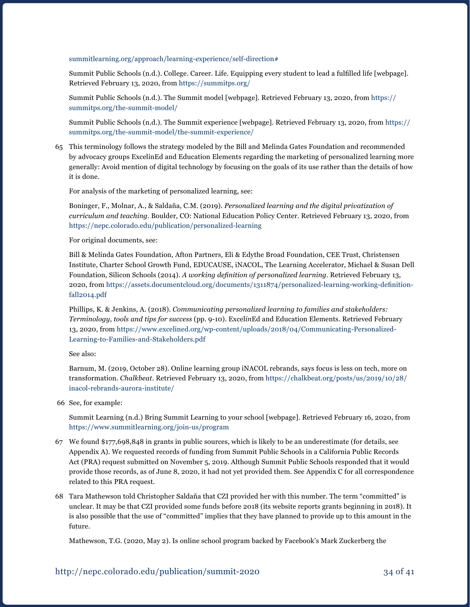#### [summitlearning.org/approach/learning-experience/self-direction#](https://www.summitlearning.org/approach/learning-experience/self-direction)

 Summit Public Schools (n.d.). College. Career. Life. Equipping every student to lead a fulfilled life [webpage]. Retrieved February 13, 2020, from<https://summitps.org/>

Summit Public Schools (n.d.). The Summit model [webpage]. Retrieved February 13, 2020, from [https://](https://summitps.org/the-summit-model/) [summitps.org/the-summit-model/](https://summitps.org/the-summit-model/) 

Summit Public Schools (n.d.). The Summit experience [webpage]. Retrieved February 13, 2020, from [https://](https://summitps.org/the-summit-model/the-summit-experience/) [summitps.org/the-summit-model/the-summit-experience/](https://summitps.org/the-summit-model/the-summit-experience/) 

65 This terminology follows the strategy modeled by the Bill and Melinda Gates Foundation and recommended by advocacy groups ExcelinEd and Education Elements regarding the marketing of personalized learning more generally: Avoid mention of digital technology by focusing on the goals of its use rather than the details of how it is done.

For analysis of the marketing of personalized learning, see:

Boninger, F., Molnar, A., & Saldaña, C.M. (2019). *Personalized learning and the digital privatization of curriculum and teaching*. Boulder, CO: National Education Policy Center. Retrieved February 13, 2020, from <https://nepc.colorado.edu/publication/personalized-learning>

For original documents, see:

Bill & Melinda Gates Foundation, Afton Partners, Eli & Edythe Broad Foundation, CEE Trust, Christensen Institute, Charter School Growth Fund, EDUCAUSE, iNACOL, The Learning Accelerator, Michael & Susan Dell Foundation, Silicon Schools (2014). *A working definition of personalized learning*. Retrieved February 13, 2020, from [https://assets.documentcloud.org/documents/1311874/personalized-learning-working-definition](https://assets.documentcloud.org/documents/1311874/personalized-learning-working-definition-fall2014.pdf)[fall2014.pdf](https://assets.documentcloud.org/documents/1311874/personalized-learning-working-definition-fall2014.pdf)

Phillips, K. & Jenkins, A. (2018). *Communicating personalized learning to families and stakeholders: Terminology, tools and tips for success* (pp. 9-10). Excel*in*Ed and Education Elements. Retrieved February 13, 2020, from [https://www.excelined.org/wp-content/uploads/2018/04/Communicating-Personalized-](https://www.excelined.org/wp-content/uploads/2018/04/Communicating-Personalized-Learning-to-Families-and-Stakeholders.pdf)[Learning-to-Families-and-Stakeholders.pdf](https://www.excelined.org/wp-content/uploads/2018/04/Communicating-Personalized-Learning-to-Families-and-Stakeholders.pdf)

See also:

Barnum, M. (2019, October 28). Online learning group iNACOL rebrands, says focus is less on tech, more on transformation. *Chalkbeat*. Retrieved February 13, 2020, from [https://chalkbeat.org/posts/us/2019/10/28/](https://chalkbeat.org/posts/us/2019/10/28/inacol-rebrands-aurora-institute/) [inacol-rebrands-aurora-institute/](https://chalkbeat.org/posts/us/2019/10/28/inacol-rebrands-aurora-institute/) 

66 See, for example:

Summit Learning (n.d.) Bring Summit Learning to your school [webpage]. Retrieved February 16, 2020, from <https://www.summitlearning.org/join-us/program>

- 67 We found \$177,698,848 in grants in public sources, which is likely to be an underestimate (for details, see Appendix A). We requested records of funding from Summit Public Schools in a California Public Records Act (PRA) request submitted on November 5, 2019. Although Summit Public Schools responded that it would provide those records, as of June 8, 2020, it had not yet provided them. See Appendix C for all correspondence related to this PRA request.
- 68 Tara Mathewson told Christopher Saldaña that CZI provided her with this number. The term "committed" is unclear. It may be that CZI provided some funds before 2018 (its website reports grants beginning in 2018). It is also possible that the use of "committed" implies that they have planned to provide up to this amount in the future.

Mathewson, T.G. (2020, May 2). Is online school program backed by Facebook's Mark Zuckerberg the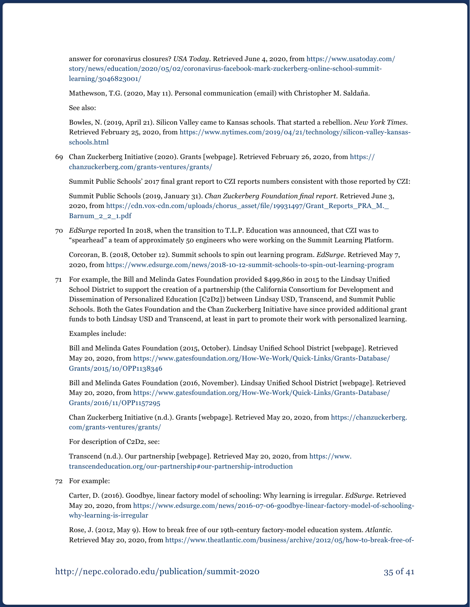answer for coronavirus closures? *USA Today*. Retrieved June 4, 2020, from [https://www.usatoday.com/](https://www.usatoday.com/story/news/education/2020/05/02/coronavirus-facebook-mark-zuckerberg-online-school-summit-learning/3046823001/) [story/news/education/2020/05/02/coronavirus-facebook-mark-zuckerberg-online-school-summit](https://www.usatoday.com/story/news/education/2020/05/02/coronavirus-facebook-mark-zuckerberg-online-school-summit-learning/3046823001/)[learning/3046823001/](https://www.usatoday.com/story/news/education/2020/05/02/coronavirus-facebook-mark-zuckerberg-online-school-summit-learning/3046823001/)

Mathewson, T.G. (2020, May 11). Personal communication (email) with Christopher M. Saldaña.

See also:

Bowles, N. (2019, April 21). Silicon Valley came to Kansas schools. That started a rebellion. *New York Times*. Retrieved February 25, 2020, from [https://www.nytimes.com/2019/04/21/technology/silicon-valley-kansas](https://www.nytimes.com/2019/04/21/technology/silicon-valley-kansas-schools.html)[schools.html](https://www.nytimes.com/2019/04/21/technology/silicon-valley-kansas-schools.html)

69 Chan Zuckerberg Initiative (2020). Grants [webpage]. Retrieved February 26, 2020, from [https://](https://chanzuckerberg.com/grants-ventures/grants/) [chanzuckerberg.com/grants-ventures/grants/](https://chanzuckerberg.com/grants-ventures/grants/)

 Summit Public Schools' 2017 final grant report to CZI reports numbers consistent with those reported by CZI:

Summit Public Schools (2019, January 31). *Chan Zuckerberg Foundation final report*. Retrieved June 3, 2020, from [https://cdn.vox-cdn.com/uploads/chorus\\_asset/file/19931497/Grant\\_Reports\\_PRA\\_M.\\_](https://cdn.vox-cdn.com/uploads/chorus_asset/file/19931497/Grant_Reports_PRA_M._Barnum_2_2_1.pdf) [Barnum\\_2\\_2\\_1.pdf](https://cdn.vox-cdn.com/uploads/chorus_asset/file/19931497/Grant_Reports_PRA_M._Barnum_2_2_1.pdf)

70 *EdSurge* reported In 2018, when the transition to T.L.P. Education was announced, that CZI was to "spearhead" a team of approximately 50 engineers who were working on the Summit Learning Platform.

Corcoran, B. (2018, October 12). Summit schools to spin out learning program. *EdSurge*. Retrieved May 7, 2020, from<https://www.edsurge.com/news/2018-10-12-summit-schools-to-spin-out-learning-program>

71 For example, the Bill and Melinda Gates Foundation provided \$499,860 in 2015 to the Lindsay Unified School District to support the creation of a partnership (the California Consortium for Development and Dissemination of Personalized Education [C2D2]) between Lindsay USD, Transcend, and Summit Public Schools. Both the Gates Foundation and the Chan Zuckerberg Initiative have since provided additional grant funds to both Lindsay USD and Transcend, at least in part to promote their work with personalized learning.

Examples include:

 Bill and Melinda Gates Foundation (2015, October). Lindsay Unified School District [webpage]. Retrieved May 20, 2020, from [https://www.gatesfoundation.org/How-We-Work/Quick-Links/Grants-Database/](https://www.gatesfoundation.org/How-We-Work/Quick-Links/Grants-Database/Grants/2015/10/OPP1138346) [Grants/2015/10/OPP1138346](https://www.gatesfoundation.org/How-We-Work/Quick-Links/Grants-Database/Grants/2015/10/OPP1138346)

 Bill and Melinda Gates Foundation (2016, November). Lindsay Unified School District [webpage]. Retrieved May 20, 2020, from [https://www.gatesfoundation.org/How-We-Work/Quick-Links/Grants-Database/](https://www.gatesfoundation.org/How-We-Work/Quick-Links/Grants-Database/Grants/2016/11/OPP1157295) [Grants/2016/11/OPP1157295](https://www.gatesfoundation.org/How-We-Work/Quick-Links/Grants-Database/Grants/2016/11/OPP1157295)

Chan Zuckerberg Initiative (n.d.). Grants [webpage]. Retrieved May 20, 2020, from [https://chanzuckerberg.](https://chanzuckerberg.com/grants-ventures/grants/) [com/grants-ventures/grants/](https://chanzuckerberg.com/grants-ventures/grants/)

For description of C2D2, see:

Transcend (n.d.). Our partnership [webpage]. Retrieved May 20, 2020, from [https://www.](https://www.transcendeducation.org/our-partnership#our-partnership-introduction) [transcendeducation.org/our-partnership#our-partnership-introduction](https://www.transcendeducation.org/our-partnership#our-partnership-introduction)

72 For example:

Carter, D. (2016). Goodbye, linear factory model of schooling: Why learning is irregular. *EdSurge*. Retrieved May 20, 2020, from [https://www.edsurge.com/news/2016-07-06-goodbye-linear-factory-model-of-schooling](https://www.edsurge.com/news/2016-07-06-goodbye-linear-factory-model-of-schooling-why-learning-is-irregular)[why-learning-is-irregular](https://www.edsurge.com/news/2016-07-06-goodbye-linear-factory-model-of-schooling-why-learning-is-irregular)

Rose, J. (2012, May 9). How to break free of our 19th-century factory-model education system. *Atlantic*. Retrieved May 20, 2020, from [https://www.theatlantic.com/business/archive/2012/05/how-to-break-free-of-](https://www.theatlantic.com/business/archive/2012/05/how-to-break-free-of-our-19th-century-factory-model-education-system/256881/)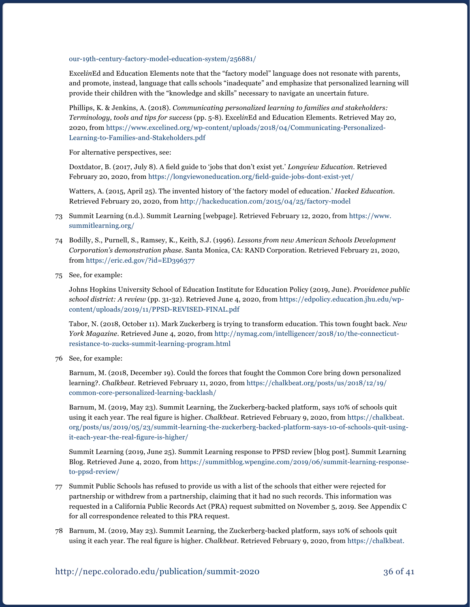[our-19th-century-factory-model-education-system/256881/](https://www.theatlantic.com/business/archive/2012/05/how-to-break-free-of-our-19th-century-factory-model-education-system/256881/) 

Excel*in*Ed and Education Elements note that the "factory model" language does not resonate with parents, and promote, instead, language that calls schools "inadequate" and emphasize that personalized learning will provide their children with the "knowledge and skills" necessary to navigate an uncertain future.

Phillips, K. & Jenkins, A. (2018). *Communicating personalized learning to families and stakeholders: Terminology, tools and tips for success* (pp. 5-8). Excel*in*Ed and Education Elements. Retrieved May 20, 2020, from [https://www.excelined.org/wp-content/uploads/2018/04/Communicating-Personalized-](https://www.excelined.org/wp-content/uploads/2018/04/Communicating-Personalized-Learning-to-Families-and-Stakeholders.pdf)[Learning-to-Families-and-Stakeholders.pdf](https://www.excelined.org/wp-content/uploads/2018/04/Communicating-Personalized-Learning-to-Families-and-Stakeholders.pdf)

For alternative perspectives, see:

 Doxtdator, B. (2017, July 8). A field guide to 'jobs that don't exist yet.' *Longview Education*. Retrieved February 20, 2020, from <https://longviewoneducation.org/field-guide-jobs-dont-exist-yet/>

Watters, A. (2015, April 25). The invented history of 'the factory model of education.' *Hacked Education*. Retrieved February 20, 2020, from <http://hackeducation.com/2015/04/25/factory-model>

- 73 Summit Learning (n.d.). Summit Learning [webpage]. Retrieved February 12, 2020, from [https://www.](https://www.summitlearning.org/) [summitlearning.org/](https://www.summitlearning.org/)
- 74 Bodilly, S., Purnell, S., Ramsey, K., Keith, S.J. (1996). *Lessons from new American Schools Development Corporation's demonstration phase*. Santa Monica, CA: RAND Corporation. Retrieved February 21, 2020, from <https://eric.ed.gov/?id=ED396377>
- 75 See, for example:

Johns Hopkins University School of Education Institute for Education Policy (2019, June). *Providence public school district: A review* (pp. 31-32). Retrieved June 4, 2020, from [https://edpolicy.education.jhu.edu/wp](https://edpolicy.education.jhu.edu/wp-content/uploads/2019/11/PPSD-REVISED-FINAL.pdf)[content/uploads/2019/11/PPSD-REVISED-FINAL.pdf](https://edpolicy.education.jhu.edu/wp-content/uploads/2019/11/PPSD-REVISED-FINAL.pdf) 

Tabor, N. (2018, October 11). Mark Zuckerberg is trying to transform education. This town fought back. *New York Magazine*. Retrieved June 4, 2020, from [http://nymag.com/intelligencer/2018/10/the-connecticut](http://nymag.com/intelligencer/2018/10/the-connecticut-resistance-to-zucks-summit-learning-program.html)[resistance-to-zucks-summit-learning-program.html](http://nymag.com/intelligencer/2018/10/the-connecticut-resistance-to-zucks-summit-learning-program.html)

76 See, for example:

Barnum, M. (2018, December 19). Could the forces that fought the Common Core bring down personalized learning?. *Chalkbeat*. Retrieved February 11, 2020, from [https://chalkbeat.org/posts/us/2018/12/19/](https://chalkbeat.org/posts/us/2018/12/19/common-core-personalized-learning-backlash/) [common-core-personalized-learning-backlash/](https://chalkbeat.org/posts/us/2018/12/19/common-core-personalized-learning-backlash/)

Barnum, M. (2019, May 23). Summit Learning, the Zuckerberg-backed platform, says 10% of schools quit using it each year. The real figure is higher. *Chalkbeat*. Retrieved February 9, 2020, from [https://chalkbeat.](https://chalkbeat.org/posts/us/2019/05/23/summit-learning-the-zuckerberg-backed-platform-says-10-of-schools-quit-using-it-each-year-the-real-figure-is-higher/) [org/posts/us/2019/05/23/summit-learning-the-zuckerberg-backed-platform-says-10-of-schools-quit-using](https://chalkbeat.org/posts/us/2019/05/23/summit-learning-the-zuckerberg-backed-platform-says-10-of-schools-quit-using-it-each-year-the-real-figure-is-higher/)[it-each-year-the-real-figure-is-higher/](https://chalkbeat.org/posts/us/2019/05/23/summit-learning-the-zuckerberg-backed-platform-says-10-of-schools-quit-using-it-each-year-the-real-figure-is-higher/)

Summit Learning (2019, June 25). Summit Learning response to PPSD review [blog post]. Summit Learning Blog. Retrieved June 4, 2020, from [https://summitblog.wpengine.com/2019/06/summit-learning-response](https://summitblog.wpengine.com/2019/06/summit-learning-response-to-ppsd-review/)[to-ppsd-review/](https://summitblog.wpengine.com/2019/06/summit-learning-response-to-ppsd-review/)

- 77 Summit Public Schools has refused to provide us with a list of the schools that either were rejected for partnership or withdrew from a partnership, claiming that it had no such records. This information was requested in a California Public Records Act (PRA) request submitted on November 5, 2019. See Appendix C for all correspondence releated to this PRA request.
- 78 Barnum, M. (2019, May 23). Summit Learning, the Zuckerberg-backed platform, says 10% of schools quit using it each year. The real figure is higher. *Chalkbeat*. Retrieved February 9, 2020, from [https://chalkbeat.](https://chalkbeat.org/posts/us/2019/05/23/summit-learning-the-zuckerberg-backed-platform-says-10-of-schools-quit-using-it-each-year-the-real-figure-is-higher/)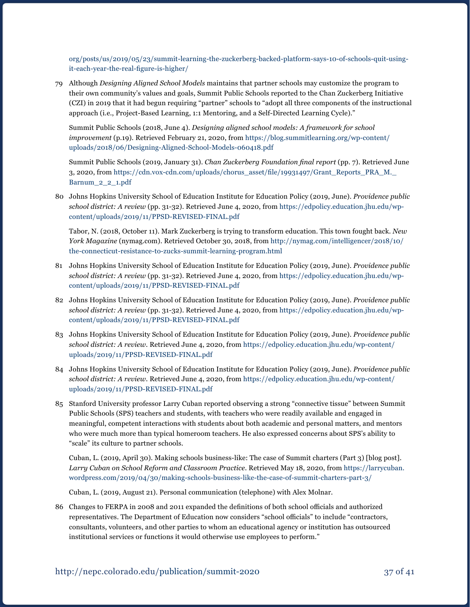[org/posts/us/2019/05/23/summit-learning-the-zuckerberg-backed-platform-says-10-of-schools-quit-using](https://chalkbeat.org/posts/us/2019/05/23/summit-learning-the-zuckerberg-backed-platform-says-10-of-schools-quit-using-it-each-year-the-real-figure-is-higher/)[it-each-year-the-real-figure-is-higher/](https://chalkbeat.org/posts/us/2019/05/23/summit-learning-the-zuckerberg-backed-platform-says-10-of-schools-quit-using-it-each-year-the-real-figure-is-higher/)

79 Although *Designing Aligned School Models* maintains that partner schools may customize the program to their own community's values and goals, Summit Public Schools reported to the Chan Zuckerberg Initiative (CZI) in 2019 that it had begun requiring "partner" schools to "adopt all three components of the instructional approach (i.e., Project-Based Learning, 1:1 Mentoring, and a Self-Directed Learning Cycle)."

Summit Public Schools (2018, June 4). *Designing aligned school models: A framework for school improvement* (p.19). Retrieved February 21, 2020, from [https://blog.summitlearning.org/wp-content/](https://blog.summitlearning.org/wp-content/uploads/2018/06/Designing-Aligned-School-Models-060418.pdf) [uploads/2018/06/Designing-Aligned-School-Models-060418.pdf](https://blog.summitlearning.org/wp-content/uploads/2018/06/Designing-Aligned-School-Models-060418.pdf)

Summit Public Schools (2019, January 31). *Chan Zuckerberg Foundation final report* (pp. 7). Retrieved June 3, 2020, from [https://cdn.vox-cdn.com/uploads/chorus\\_asset/file/19931497/Grant\\_Reports\\_PRA\\_M.\\_](https://cdn.vox-cdn.com/uploads/chorus_asset/file/19931497/Grant_Reports_PRA_M._Barnum_2_2_1.pdf) [Barnum\\_2\\_2\\_1.pdf](https://cdn.vox-cdn.com/uploads/chorus_asset/file/19931497/Grant_Reports_PRA_M._Barnum_2_2_1.pdf)

80 Johns Hopkins University School of Education Institute for Education Policy (2019, June). *Providence public school district: A review* (pp. 31-32). Retrieved June 4, 2020, from [https://edpolicy.education.jhu.edu/wp](https://edpolicy.education.jhu.edu/wp-content/uploads/2019/11/PPSD-REVISED-FINAL.pdf)[content/uploads/2019/11/PPSD-REVISED-FINAL.pdf](https://edpolicy.education.jhu.edu/wp-content/uploads/2019/11/PPSD-REVISED-FINAL.pdf) 

Tabor, N. (2018, October 11). Mark Zuckerberg is trying to transform education. This town fought back. *New York Magazine* (nymag.com). Retrieved October 30, 2018, from [http://nymag.com/intelligencer/2018/10/](http://nymag.com/intelligencer/2018/10/the-connecticut-resistance-to-zucks-summit-learning-program.html) [the-connecticut-resistance-to-zucks-summit-learning-program.html](http://nymag.com/intelligencer/2018/10/the-connecticut-resistance-to-zucks-summit-learning-program.html)

- 81 Johns Hopkins University School of Education Institute for Education Policy (2019, June). *Providence public school district: A review* (pp. 31-32). Retrieved June 4, 2020, from [https://edpolicy.education.jhu.edu/wp](https://edpolicy.education.jhu.edu/wp-content/uploads/2019/11/PPSD-REVISED-FINAL.pdf)[content/uploads/2019/11/PPSD-REVISED-FINAL.pdf](https://edpolicy.education.jhu.edu/wp-content/uploads/2019/11/PPSD-REVISED-FINAL.pdf)
- 82 Johns Hopkins University School of Education Institute for Education Policy (2019, June). *Providence public school district: A review* (pp. 31-32). Retrieved June 4, 2020, from [https://edpolicy.education.jhu.edu/wp](https://edpolicy.education.jhu.edu/wp-content/uploads/2019/11/PPSD-REVISED-FINAL.pdf)[content/uploads/2019/11/PPSD-REVISED-FINAL.pdf](https://edpolicy.education.jhu.edu/wp-content/uploads/2019/11/PPSD-REVISED-FINAL.pdf)
- 83 Johns Hopkins University School of Education Institute for Education Policy (2019, June). *Providence public school district: A review*. Retrieved June 4, 2020, from [https://edpolicy.education.jhu.edu/wp-content/](https://edpolicy.education.jhu.edu/wp-content/uploads/2019/11/PPSD-REVISED-FINAL.pdf) [uploads/2019/11/PPSD-REVISED-FINAL.pdf](https://edpolicy.education.jhu.edu/wp-content/uploads/2019/11/PPSD-REVISED-FINAL.pdf)
- 84 Johns Hopkins University School of Education Institute for Education Policy (2019, June). *Providence public school district: A review*. Retrieved June 4, 2020, from [https://edpolicy.education.jhu.edu/wp-content/](https://edpolicy.education.jhu.edu/wp-content/uploads/2019/11/PPSD-REVISED-FINAL.pdf) [uploads/2019/11/PPSD-REVISED-FINAL.pdf](https://edpolicy.education.jhu.edu/wp-content/uploads/2019/11/PPSD-REVISED-FINAL.pdf)
- 85 Stanford University professor Larry Cuban reported observing a strong "connective tissue" between Summit Public Schools (SPS) teachers and students, with teachers who were readily available and engaged in meaningful, competent interactions with students about both academic and personal matters, and mentors who were much more than typical homeroom teachers. He also expressed concerns about SPS's ability to "scale" its culture to partner schools.

Cuban, L. (2019, April 30). Making schools business-like: The case of Summit charters (Part 3) [blog post]. *Larry Cuban on School Reform and Classroom Practice*. Retrieved May 18, 2020, from [https://larrycuban.](https://larrycuban.wordpress.com/2019/04/30/making-schools-business-like-the-case-of-summit-charters-part-3/) [wordpress.com/2019/04/30/making-schools-business-like-the-case-of-summit-charters-part-3/](https://larrycuban.wordpress.com/2019/04/30/making-schools-business-like-the-case-of-summit-charters-part-3/)

Cuban, L. (2019, August 21). Personal communication (telephone) with Alex Molnar.

86 Changes to FERPA in 2008 and 2011 expanded the definitions of both school officials and authorized representatives. The Department of Education now considers "school officials" to include "contractors, consultants, volunteers, and other parties to whom an educational agency or institution has outsourced institutional services or functions it would otherwise use employees to perform."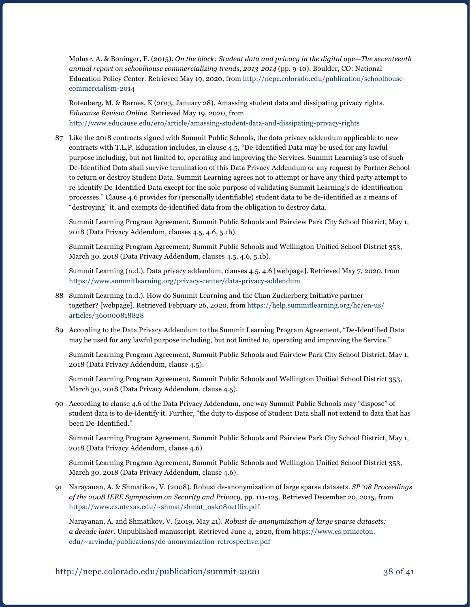Molnar, A. & Boninger, F. (2015). *On the block: Student data and privacy in the digital age—The seventeenth annual report on schoolhouse commercializing trends, 2013-2014* (pp. 9-10). Boulder, CO: National Education Policy Center. Retrieved May 19, 2020, from [http://nepc.colorado.edu/publication/schoolhouse](http://nepc.colorado.edu/publication/schoolhouse-commercialism-2014)[commercialism-2014](http://nepc.colorado.edu/publication/schoolhouse-commercialism-2014) 

Rotenberg, M. & Barnes, K (2013, January 28). Amassing student data and dissipating privacy rights. *Educause Review Online*. Retrieved May 19, 2020, from <http://www.educause.edu/ero/article/amassing-student-data-and-dissipating-privacy-rights>

87 Like the 2018 contracts signed with Summit Public Schools, the data privacy addendum applicable to new contracts with T.L.P. Education includes, in clause 4.5, "De-Identified Data may be used for any lawful purpose including, but not limited to, operating and improving the Services. Summit Learning's use of such De-Identified Data shall survive termination of this Data Privacy Addendum or any request by Partner School to return or destroy Student Data. Summit Learning agrees not to attempt or have any third party attempt to re-identify De-Identified Data except for the sole purpose of validating Summit Learning's de-identification processes." Clause 4.6 provides for (personally identifiable) student data to be de-identified as a means of "destroying" it, and exempts de-identified data from the obligation to destroy data.

Summit Learning Program Agreement, Summit Public Schools and Fairview Park City School District, May 1, 2018 (Data Privacy Addendum, clauses 4.5, 4.6, 5.1b).

 Summit Learning Program Agreement, Summit Public Schools and Wellington Unified School District 353, March 30, 2018 (Data Privacy Addendum, clauses 4.5, 4.6, 5.1b).

Summit Learning (n.d.). Data privacy addendum, clauses 4.5, 4.6 [webpage]. Retrieved May 7, 2020, from <https://www.summitlearning.org/privacy-center/data-privacy-addendum>

- 88 Summit Learning (n.d.). How do Summit Learning and the Chan Zuckerberg Initiative partner together? [webpage]. Retrieved February 26, 2020, from [https://help.summitlearning.org/hc/en-us/](https://help.summitlearning.org/hc/en-us/articles/360000818828) [articles/360000818828](https://help.summitlearning.org/hc/en-us/articles/360000818828)
- 89 According to the Data Privacy Addendum to the Summit Learning Program Agreement, "De-Identified Data may be used for any lawful purpose including, but not limited to, operating and improving the Service."

Summit Learning Program Agreement, Summit Public Schools and Fairview Park City School District, May 1, 2018 (Data Privacy Addendum, clause 4.5).

 Summit Learning Program Agreement, Summit Public Schools and Wellington Unified School District 353, March 30, 2018 (Data Privacy Addendum, clause 4.5).

90 According to clause 4.6 of the Data Privacy Addendum, one way Summit Public Schools may "dispose" of student data is to de-identify it. Further, "the duty to dispose of Student Data shall not extend to data that has been De-Identified."

Summit Learning Program Agreement, Summit Public Schools and Fairview Park City School District, May 1, 2018 (Data Privacy Addendum, clause 4.6).

 Summit Learning Program Agreement, Summit Public Schools and Wellington Unified School District 353, March 30, 2018 (Data Privacy Addendum, clause 4.6).

91 Narayanan, A. & Shmatikov, V. (2008). Robust de-anonymization of large sparse datasets. *SP '08 Proceedings of the 2008 IEEE Symposium on Security and Privacy,* pp. 111-125. Retrieved December 20, 2015, from [https://www.cs.utexas.edu/~shmat/shmat\\_oak08netflix.pdf](https://www.cs.utexas.edu/~shmat/shmat_oak08netflix.pdf)

Narayanan, A. and Shmatikov, V. (2019, May 21). *Robust de-anonymization of large sparse datasets: a decade later*. Unpublished manuscript. Retrieved June 4, 2020, from [https://www.cs.princeton.](https://www.cs.princeton.edu/~arvindn/publications/de-anonymization-retrospective.pdf) [edu/~arvindn/publications/de-anonymization-retrospective.pdf](https://www.cs.princeton.edu/~arvindn/publications/de-anonymization-retrospective.pdf)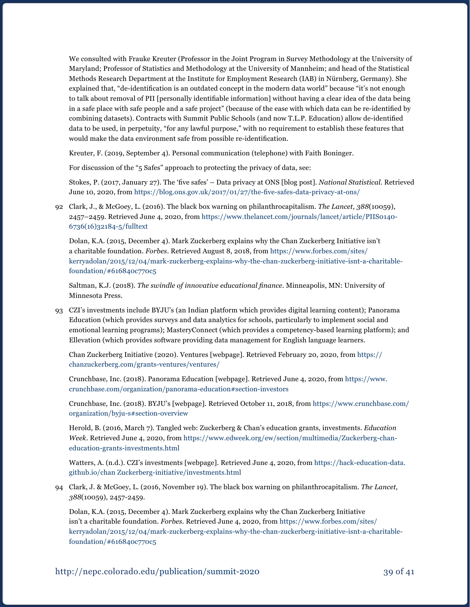We consulted with Frauke Kreuter (Professor in the Joint Program in Survey Methodology at the University of Maryland; Professor of Statistics and Methodology at the University of Mannheim; and head of the Statistical Methods Research Department at the Institute for Employment Research (IAB) in Nürnberg, Germany). She explained that, "de-identification is an outdated concept in the modern data world" because "it's not enough to talk about removal of PII [personally identifiable information] without having a clear idea of the data being in a safe place with safe people and a safe project" (because of the ease with which data can be re-identified by combining datasets). Contracts with Summit Public Schools (and now T.L.P. Education) allow de-identified data to be used, in perpetuity, "for any lawful purpose," with no requirement to establish these features that would make the data environment safe from possible re-identification.

Kreuter, F. (2019, September 4). Personal communication (telephone) with Faith Boninger.

For discussion of the "5 Safes" approach to protecting the privacy of data, see:

 Stokes, P. (2017, January 27). The 'five safes' – Data privacy at ONS [blog post]. *National Statistical*. Retrieved June 10, 2020, from <https://blog.ons.gov.uk/2017/01/27/the-five-safes-data-privacy-at-ons/>

92 Clark, J., & McGoey, L. (2016). The black box warning on philanthrocapitalism. *The Lancet, 388*(10059), 2457–2459. Retrieved June 4, 2020, from [https://www.thelancet.com/journals/lancet/article/PIIS0140-](https://www.thelancet.com/journals/lancet/article/PIIS0140-6736(16)32184-5/fulltext) [6736\(16\)32184-5/fulltext](https://www.thelancet.com/journals/lancet/article/PIIS0140-6736(16)32184-5/fulltext)

Dolan, K.A. (2015, December 4). Mark Zuckerberg explains why the Chan Zuckerberg Initiative isn't a charitable foundation. *Forbes*. Retrieved August 8, 2018, from [https://www.forbes.com/sites/](https://www.forbes.com/sites/kerryadolan/2015/12/04/mark-zuckerberg-explains-why-the-chan-zuckerberg-initiative-isnt-a-charitable-foundation/#616840c770c5) [kerryadolan/2015/12/04/mark-zuckerberg-explains-why-the-chan-zuckerberg-initiative-isnt-a-charitable](https://www.forbes.com/sites/kerryadolan/2015/12/04/mark-zuckerberg-explains-why-the-chan-zuckerberg-initiative-isnt-a-charitable-foundation/#616840c770c5)[foundation/#616840c770c5](https://www.forbes.com/sites/kerryadolan/2015/12/04/mark-zuckerberg-explains-why-the-chan-zuckerberg-initiative-isnt-a-charitable-foundation/#616840c770c5)

Saltman, K.J. (2018). *The swindle of innovative educational finance*. Minneapolis, MN: University of Minnesota Press.

93 CZI's investments include BYJU's (an Indian platform which provides digital learning content); Panorama Education (which provides surveys and data analytics for schools, particularly to implement social and emotional learning programs); MasteryConnect (which provides a competency-based learning platform); and Ellevation (which provides software providing data management for English language learners.

Chan Zuckerberg Initiative (2020). Ventures [webpage]. Retrieved February 20, 2020, from [https://](https://chanzuckerberg.com/grants-ventures/ventures/) [chanzuckerberg.com/grants-ventures/ventures/](https://chanzuckerberg.com/grants-ventures/ventures/)

Crunchbase, Inc. (2018). Panorama Education [webpage]. Retrieved June 4, 2020, from [https://www.](https://www.crunchbase.com/organization/panorama-education#section-investors) [crunchbase.com/organization/panorama-education#section-investors](https://www.crunchbase.com/organization/panorama-education#section-investors)

Crunchbase, Inc. (2018). BYJU's [webpage]. Retrieved October 11, 2018, from [https://www.crunchbase.com/](https://www.crunchbase.com/organization/byju-s#section-overview) [organization/byju-s#section-overview](https://www.crunchbase.com/organization/byju-s#section-overview)

Herold, B. (2016, March 7). Tangled web: Zuckerberg & Chan's education grants, investments. *Education Week*. Retrieved June 4, 2020, from [https://www.edweek.org/ew/section/multimedia/Zuckerberg-chan](https://www.edweek.org/ew/section/multimedia/zuckerberg-chan-education-grants-investments.html)[education-grants-investments.html](https://www.edweek.org/ew/section/multimedia/zuckerberg-chan-education-grants-investments.html)

Watters, A. (n.d.). CZI's investments [webpage]. Retrieved June 4, 2020, from [https://hack-education-data.](https://hack-education-data.github.io/chan-zuckerberg-initiative/investments.html) [github.io/chan Zuckerberg-initiative/investments.html](https://hack-education-data.github.io/chan-zuckerberg-initiative/investments.html)

94 Clark, J. & McGoey, L. (2016, November 19). The black box warning on philanthrocapitalism. *The Lancet, 388*(10059), 2457-2459.

Dolan, K.A. (2015, December 4). Mark Zuckerberg explains why the Chan Zuckerberg Initiative isn't a charitable foundation. *Forbes*. Retrieved June 4, 2020, from [https://www.forbes.com/sites/](https://www.forbes.com/sites/kerryadolan/2015/12/04/mark-zuckerberg-explains-why-the-chan-zuckerberg-initiative-isnt-a-charitable-foundation/#616840c770c5) [kerryadolan/2015/12/04/mark-zuckerberg-explains-why-the-chan-zuckerberg-initiative-isnt-a-charitable](https://www.forbes.com/sites/kerryadolan/2015/12/04/mark-zuckerberg-explains-why-the-chan-zuckerberg-initiative-isnt-a-charitable-foundation/#616840c770c5)[foundation/#616840c770c5](https://www.forbes.com/sites/kerryadolan/2015/12/04/mark-zuckerberg-explains-why-the-chan-zuckerberg-initiative-isnt-a-charitable-foundation/#616840c770c5)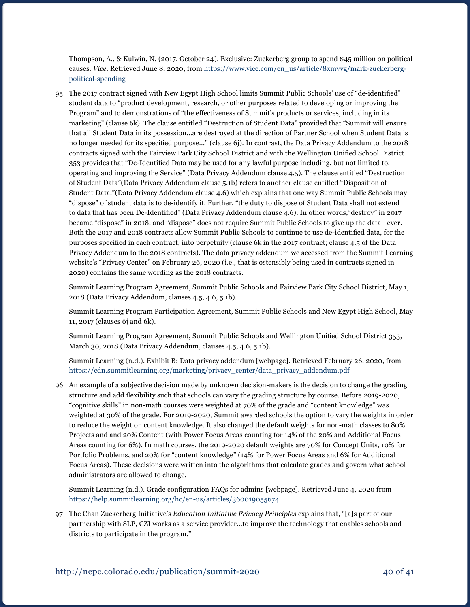Thompson, A., & Kulwin, N. (2017, October 24). Exclusive: Zuckerberg group to spend \$45 million on political causes. *Vice*. Retrieved June 8, 2020, from [https://www.vice.com/en\\_us/article/8xmvvg/mark-zuckerberg](https://www.vice.com/en_us/article/8xmvvg/mark-zuckerberg-political-spending)[political-spending](https://www.vice.com/en_us/article/8xmvvg/mark-zuckerberg-political-spending)

95 The 2017 contract signed with New Egypt High School limits Summit Public Schools' use of "de-identified" student data to "product development, research, or other purposes related to developing or improving the Program" and to demonstrations of "the effectiveness of Summit's products or services, including in its marketing" (clause 6k). The clause entitled "Destruction of Student Data" provided that "Summit will ensure that all Student Data in its possession...are destroyed at the direction of Partner School when Student Data is no longer needed for its specified purpose..." (clause 6j). In contrast, the Data Privacy Addendum to the 2018 contracts signed with the Fairview Park City School District and with the Wellington Unified School District 353 provides that "De-Identified Data may be used for any lawful purpose including, but not limited to, operating and improving the Service" (Data Privacy Addendum clause 4.5). The clause entitled "Destruction of Student Data"(Data Privacy Addendum clause 5.1b) refers to another clause entitled "Disposition of Student Data,"(Data Privacy Addendum clause 4.6) which explains that one way Summit Public Schools may "dispose" of student data is to de-identify it. Further, "the duty to dispose of Student Data shall not extend to data that has been De-Identified" (Data Privacy Addendum clause 4.6). In other words,"destroy" in 2017 became "dispose" in 2018, and "dispose" does not require Summit Public Schools to give up the data—ever. Both the 2017 and 2018 contracts allow Summit Public Schools to continue to use de-identified data, for the purposes specified in each contract, into perpetuity (clause 6k in the 2017 contract; clause 4.5 of the Data Privacy Addendum to the 2018 contracts). The data privacy addendum we accessed from the Summit Learning website's "Privacy Center" on February 26, 2020 (i.e., that is ostensibly being used in contracts signed in 2020) contains the same wording as the 2018 contracts.

Summit Learning Program Agreement, Summit Public Schools and Fairview Park City School District, May 1, 2018 (Data Privacy Addendum, clauses 4.5, 4.6, 5.1b).

Summit Learning Program Participation Agreement, Summit Public Schools and New Egypt High School, May 11, 2017 (clauses 6j and 6k).

 Summit Learning Program Agreement, Summit Public Schools and Wellington Unified School District 353, March 30, 2018 (Data Privacy Addendum, clauses 4.5, 4.6, 5.1b).

Summit Learning (n.d.). Exhibit B: Data privacy addendum [webpage]. Retrieved February 26, 2020, from [https://cdn.summitlearning.org/marketing/privacy\\_center/data\\_privacy\\_addendum.pdf](https://cdn.summitlearning.org/marketing/privacy_center/data_privacy_addendum.pdf) 

96 An example of a subjective decision made by unknown decision-makers is the decision to change the grading structure and add flexibility such that schools can vary the grading structure by course. Before 2019-2020, "cognitive skills" in non-math courses were weighted at 70% of the grade and "content knowledge" was weighted at 30% of the grade. For 2019-2020, Summit awarded schools the option to vary the weights in order to reduce the weight on content knowledge. It also changed the default weights for non-math classes to 80% Projects and and 20% Content (with Power Focus Areas counting for 14% of the 20% and Additional Focus Areas counting for 6%), In math courses, the 2019-2020 default weights are 70% for Concept Units, 10% for Portfolio Problems, and 20% for "content knowledge" (14% for Power Focus Areas and 6% for Additional Focus Areas). These decisions were written into the algorithms that calculate grades and govern what school administrators are allowed to change.

 Summit Learning (n.d.). Grade configuration FAQs for admins [webpage]. Retrieved June 4, 2020 from <https://help.summitlearning.org/hc/en-us/articles/360019055674>

97 The Chan Zuckerberg Initiative's *Education Initiative Privacy Principles* explains that, "[a]s part of our partnership with SLP, CZI works as a service provider...to improve the technology that enables schools and districts to participate in the program."